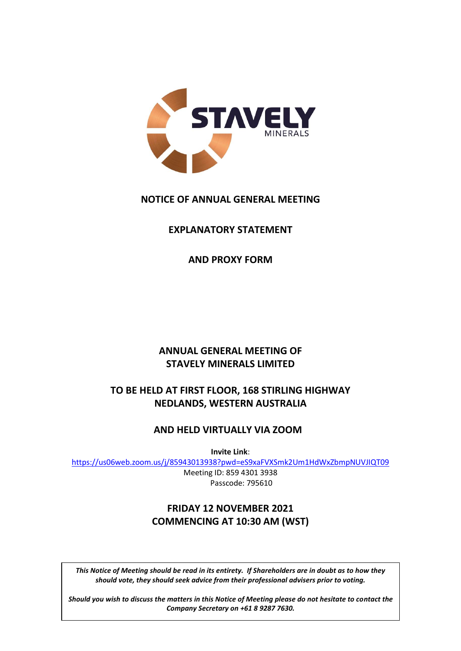

# **NOTICE OF ANNUAL GENERAL MEETING**

# **EXPLANATORY STATEMENT**

**AND PROXY FORM**

# **ANNUAL GENERAL MEETING OF STAVELY MINERALS LIMITED**

# **TO BE HELD AT FIRST FLOOR, 168 STIRLING HIGHWAY NEDLANDS, WESTERN AUSTRALIA**

# **AND HELD VIRTUALLY VIA ZOOM**

**Invite Link**:

<https://us06web.zoom.us/j/85943013938?pwd=eS9xaFVXSmk2Um1HdWxZbmpNUVJIQT09>

Meeting ID: 859 4301 3938 Passcode: 795610

# **FRIDAY 12 NOVEMBER 2021 COMMENCING AT 10:30 AM (WST)**

should vote, they should seek advice from their professional advisers prior to voting.<br>|-<br>|-*This Notice of Meeting should be read in its entirety. If Shareholders are in doubt as to how they* 

*do not hesitate to contact the Company Secretary on (+61 8) [\*6]. Should you wish to discuss the matters in this Notice of Meeting please do not hesitate to contact the Company Secretary on +61 8 9287 7630.*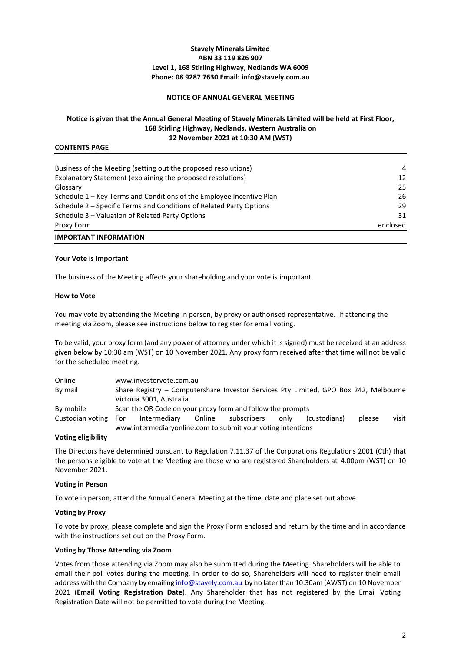# **Stavely Minerals Limited ABN 33 119 826 907 Level 1, 168 Stirling Highway, Nedlands WA 6009 Phone: 08 9287 7630 Email: info@stavely.com.au**

## **NOTICE OF ANNUAL GENERAL MEETING**

# **Notice is given that the Annual General Meeting of Stavely Minerals Limited will be held at First Floor, 168 Stirling Highway, Nedlands, Western Australia on 12 November 2021 at 10:30 AM (WST)**

## **CONTENTS PAGE**

| <b>IMPORTANT INFORMATION</b>                                         |          |
|----------------------------------------------------------------------|----------|
| Proxy Form                                                           | enclosed |
| Schedule 3 - Valuation of Related Party Options                      | 31       |
| Schedule 2 – Specific Terms and Conditions of Related Party Options  | 29       |
| Schedule 1 – Key Terms and Conditions of the Employee Incentive Plan | 26       |
| Glossary                                                             | 25       |
| Explanatory Statement (explaining the proposed resolutions)          | 12       |
| Business of the Meeting (setting out the proposed resolutions)       | 4        |
|                                                                      |          |

#### **Your Vote is Important**

The business of the Meeting affects your shareholding and your vote is important.

#### **How to Vote**

You may vote by attending the Meeting in person, by proxy or authorised representative. If attending the meeting via Zoom, please see instructions below to register for email voting.

To be valid, your proxy form (and any power of attorney under which it is signed) must be received at an address given below by 10:30 am (WST) on 10 November 2021. Any proxy form received after that time will not be valid for the scheduled meeting.

| Online           |     | www.investorvote.com.au                                                              |                    |      |              |        |       |
|------------------|-----|--------------------------------------------------------------------------------------|--------------------|------|--------------|--------|-------|
| By mail          |     | Share Registry – Computershare Investor Services Pty Limited, GPO Box 242, Melbourne |                    |      |              |        |       |
|                  |     | Victoria 3001, Australia                                                             |                    |      |              |        |       |
| By mobile        |     | Scan the QR Code on your proxy form and follow the prompts                           |                    |      |              |        |       |
| Custodian voting | For | Intermediary                                                                         | Online subscribers | only | (custodians) | please | visit |
|                  |     | www.intermediaryonline.com to submit your voting intentions                          |                    |      |              |        |       |

## **Voting eligibility**

The Directors have determined pursuant to Regulation 7.11.37 of the Corporations Regulations 2001 (Cth) that the persons eligible to vote at the Meeting are those who are registered Shareholders at 4.00pm (WST) on 10 November 2021.

#### **Voting in Person**

To vote in person, attend the Annual General Meeting at the time, date and place set out above.

#### **Voting by Proxy**

To vote by proxy, please complete and sign the Proxy Form enclosed and return by the time and in accordance with the instructions set out on the Proxy Form.

#### **Voting by Those Attending via Zoom**

Votes from those attending via Zoom may also be submitted during the Meeting. Shareholders will be able to email their poll votes during the meeting. In order to do so, Shareholders will need to register their email address with the Company by emailin[g info@stavely.com.au by](mailto:info@stavely.com.au) no later than 10:30am (AWST) on 10 November 2021 (**Email Voting Registration Date**). Any Shareholder that has not registered by the Email Voting Registration Date will not be permitted to vote during the Meeting.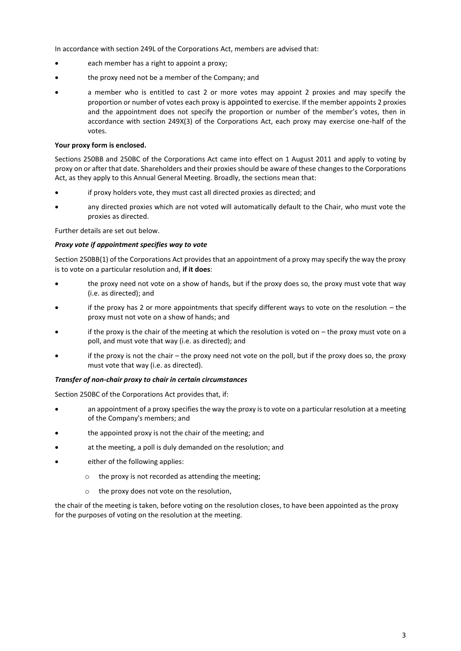In accordance with section 249L of the Corporations Act, members are advised that:

- each member has a right to appoint a proxy;
- the proxy need not be a member of the Company; and
- a member who is entitled to cast 2 or more votes may appoint 2 proxies and may specify the proportion or number of votes each proxy is appointed to exercise. If the member appoints 2 proxies and the appointment does not specify the proportion or number of the member's votes, then in accordance with section 249X(3) of the Corporations Act, each proxy may exercise one-half of the votes.

# **Your proxy form is enclosed.**

Sections 250BB and 250BC of the Corporations Act came into effect on 1 August 2011 and apply to voting by proxy on or after that date. Shareholders and their proxies should be aware of these changes to the Corporations Act, as they apply to this Annual General Meeting. Broadly, the sections mean that:

- if proxy holders vote, they must cast all directed proxies as directed; and
- any directed proxies which are not voted will automatically default to the Chair, who must vote the proxies as directed.

Further details are set out below.

#### *Proxy vote if appointment specifies way to vote*

Section 250BB(1) of the Corporations Act provides that an appointment of a proxy may specify the way the proxy is to vote on a particular resolution and, **if it does**:

- the proxy need not vote on a show of hands, but if the proxy does so, the proxy must vote that way (i.e. as directed); and
- if the proxy has 2 or more appointments that specify different ways to vote on the resolution the proxy must not vote on a show of hands; and
- if the proxy is the chair of the meeting at which the resolution is voted on  $-$  the proxy must vote on a poll, and must vote that way (i.e. as directed); and
- if the proxy is not the chair the proxy need not vote on the poll, but if the proxy does so, the proxy must vote that way (i.e. as directed).

#### *Transfer of non-chair proxy to chair in certain circumstances*

Section 250BC of the Corporations Act provides that, if:

- an appointment of a proxy specifies the way the proxy is to vote on a particular resolution at a meeting of the Company's members; and
- the appointed proxy is not the chair of the meeting; and
- at the meeting, a poll is duly demanded on the resolution; and
- either of the following applies:
	- o the proxy is not recorded as attending the meeting;
	- o the proxy does not vote on the resolution,

the chair of the meeting is taken, before voting on the resolution closes, to have been appointed as the proxy for the purposes of voting on the resolution at the meeting.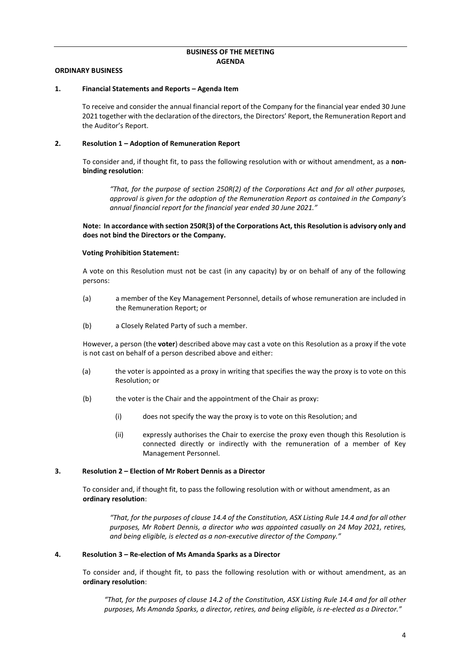#### **BUSINESS OF THE MEETING AGENDA**

#### **ORDINARY BUSINESS**

#### <span id="page-3-0"></span>**1. Financial Statements and Reports – Agenda Item**

To receive and consider the annual financial report of the Company for the financial year ended 30 June 2021 together with the declaration of the directors, the Directors' Report, the Remuneration Report and the Auditor's Report.

#### **2. Resolution 1 – Adoption of Remuneration Report**

To consider and, if thought fit, to pass the following resolution with or without amendment, as a **nonbinding resolution**:

*"That, for the purpose of section 250R(2) of the Corporations Act and for all other purposes, approval is given for the adoption of the Remuneration Report as contained in the Company's annual financial report for the financial year ended 30 June 2021."* 

**Note: In accordance with section 250R(3) of the Corporations Act, this Resolution is advisory only and does not bind the Directors or the Company.**

#### **Voting Prohibition Statement:**

A vote on this Resolution must not be cast (in any capacity) by or on behalf of any of the following persons:

- (a) a member of the Key Management Personnel, details of whose remuneration are included in the Remuneration Report; or
- (b) a Closely Related Party of such a member.

However, a person (the **voter**) described above may cast a vote on this Resolution as a proxy if the vote is not cast on behalf of a person described above and either:

- (a) the voter is appointed as a proxy in writing that specifies the way the proxy is to vote on this Resolution; or
- (b) the voter is the Chair and the appointment of the Chair as proxy:
	- (i) does not specify the way the proxy is to vote on this Resolution; and
	- (ii) expressly authorises the Chair to exercise the proxy even though this Resolution is connected directly or indirectly with the remuneration of a member of Key Management Personnel.

#### **3. Resolution 2 – Election of Mr Robert Dennis as a Director**

To consider and, if thought fit, to pass the following resolution with or without amendment, as an **ordinary resolution**:

*"That, for the purposes of clause 14.4 of the Constitution, ASX Listing Rule 14.4 and for all other purposes, Mr Robert Dennis, a director who was appointed casually on 24 May 2021, retires, and being eligible, is elected as a non-executive director of the Company."*

#### **4. Resolution 3 – Re-election of Ms Amanda Sparks as a Director**

To consider and, if thought fit, to pass the following resolution with or without amendment, as an **ordinary resolution**:

*"That, for the purposes of clause 14.2 of the Constitution, ASX Listing Rule 14.4 and for all other purposes, Ms Amanda Sparks, a director, retires, and being eligible, is re-elected as a Director."*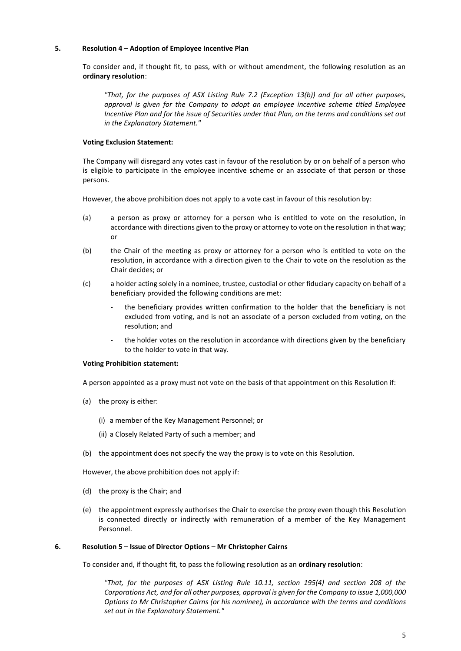#### **5. Resolution 4 – Adoption of Employee Incentive Plan**

To consider and, if thought fit, to pass, with or without amendment, the following resolution as an **ordinary resolution**:

*"That, for the purposes of ASX Listing Rule 7.2 (Exception 13(b)) and for all other purposes, approval is given for the Company to adopt an employee incentive scheme titled Employee Incentive Plan and for the issue of Securities under that Plan, on the terms and conditions set out in the Explanatory Statement."*

#### **Voting Exclusion Statement:**

The Company will disregard any votes cast in favour of the resolution by or on behalf of a person who is eligible to participate in the employee incentive scheme or an associate of that person or those persons.

However, the above prohibition does not apply to a vote cast in favour of this resolution by:

- (a) a person as proxy or attorney for a person who is entitled to vote on the resolution, in accordance with directions given to the proxy or attorney to vote on the resolution in that way; or
- (b) the Chair of the meeting as proxy or attorney for a person who is entitled to vote on the resolution, in accordance with a direction given to the Chair to vote on the resolution as the Chair decides; or
- (c) a holder acting solely in a nominee, trustee, custodial or other fiduciary capacity on behalf of a beneficiary provided the following conditions are met:
	- the beneficiary provides written confirmation to the holder that the beneficiary is not excluded from voting, and is not an associate of a person excluded from voting, on the resolution; and
	- the holder votes on the resolution in accordance with directions given by the beneficiary to the holder to vote in that way.

#### **Voting Prohibition statement:**

A person appointed as a proxy must not vote on the basis of that appointment on this Resolution if:

- (a) the proxy is either:
	- (i) a member of the Key Management Personnel; or
	- (ii) a Closely Related Party of such a member; and
- (b) the appointment does not specify the way the proxy is to vote on this Resolution.

However, the above prohibition does not apply if:

- (d) the proxy is the Chair; and
- (e) the appointment expressly authorises the Chair to exercise the proxy even though this Resolution is connected directly or indirectly with remuneration of a member of the Key Management Personnel.

#### **6. Resolution 5 – Issue of Director Options – Mr Christopher Cairns**

To consider and, if thought fit, to pass the following resolution as an **ordinary resolution**:

*"That, for the purposes of ASX Listing Rule 10.11, section 195(4) and section 208 of the Corporations Act, and for all other purposes, approval is given for the Company to issue 1,000,000 Options to Mr Christopher Cairns (or his nominee), in accordance with the terms and conditions set out in the Explanatory Statement."*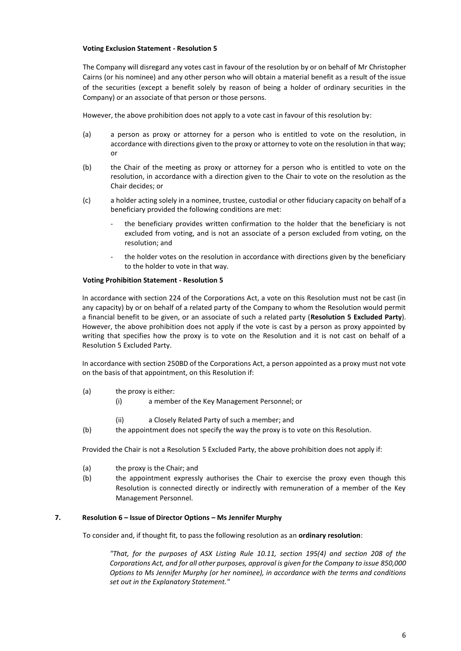The Company will disregard any votes cast in favour of the resolution by or on behalf of Mr Christopher Cairns (or his nominee) and any other person who will obtain a material benefit as a result of the issue of the securities (except a benefit solely by reason of being a holder of ordinary securities in the Company) or an associate of that person or those persons.

However, the above prohibition does not apply to a vote cast in favour of this resolution by:

- (a) a person as proxy or attorney for a person who is entitled to vote on the resolution, in accordance with directions given to the proxy or attorney to vote on the resolution in that way; or
- (b) the Chair of the meeting as proxy or attorney for a person who is entitled to vote on the resolution, in accordance with a direction given to the Chair to vote on the resolution as the Chair decides; or
- (c) a holder acting solely in a nominee, trustee, custodial or other fiduciary capacity on behalf of a beneficiary provided the following conditions are met:
	- the beneficiary provides written confirmation to the holder that the beneficiary is not excluded from voting, and is not an associate of a person excluded from voting, on the resolution; and
	- the holder votes on the resolution in accordance with directions given by the beneficiary to the holder to vote in that way.

#### **Voting Prohibition Statement - Resolution 5**

In accordance with section 224 of the Corporations Act, a vote on this Resolution must not be cast (in any capacity) by or on behalf of a related party of the Company to whom the Resolution would permit a financial benefit to be given, or an associate of such a related party (**Resolution 5 Excluded Party**). However, the above prohibition does not apply if the vote is cast by a person as proxy appointed by writing that specifies how the proxy is to vote on the Resolution and it is not cast on behalf of a Resolution 5 Excluded Party.

In accordance with section 250BD of the Corporations Act, a person appointed as a proxy must not vote on the basis of that appointment, on this Resolution if:

- (a) the proxy is either:
	- (i) a member of the Key Management Personnel; or
	- (ii) a Closely Related Party of such a member; and
- (b) the appointment does not specify the way the proxy is to vote on this Resolution.

Provided the Chair is not a Resolution 5 Excluded Party, the above prohibition does not apply if:

- (a) the proxy is the Chair; and
- (b) the appointment expressly authorises the Chair to exercise the proxy even though this Resolution is connected directly or indirectly with remuneration of a member of the Key Management Personnel.

#### **7. Resolution 6 – Issue of Director Options – Ms Jennifer Murphy**

To consider and, if thought fit, to pass the following resolution as an **ordinary resolution**:

*"That, for the purposes of ASX Listing Rule 10.11, section 195(4) and section 208 of the Corporations Act, and for all other purposes, approval is given for the Company to issue 850,000 Options to Ms Jennifer Murphy (or her nominee), in accordance with the terms and conditions set out in the Explanatory Statement."*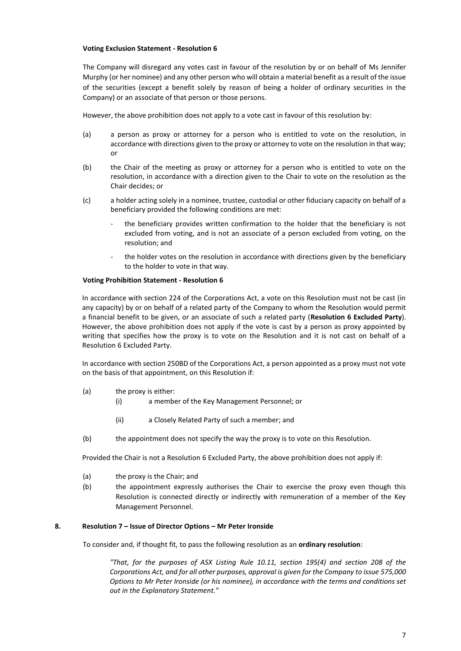The Company will disregard any votes cast in favour of the resolution by or on behalf of Ms Jennifer Murphy (or her nominee) and any other person who will obtain a material benefit as a result of the issue of the securities (except a benefit solely by reason of being a holder of ordinary securities in the Company) or an associate of that person or those persons.

However, the above prohibition does not apply to a vote cast in favour of this resolution by:

- (a) a person as proxy or attorney for a person who is entitled to vote on the resolution, in accordance with directions given to the proxy or attorney to vote on the resolution in that way; or
- (b) the Chair of the meeting as proxy or attorney for a person who is entitled to vote on the resolution, in accordance with a direction given to the Chair to vote on the resolution as the Chair decides; or
- (c) a holder acting solely in a nominee, trustee, custodial or other fiduciary capacity on behalf of a beneficiary provided the following conditions are met:
	- the beneficiary provides written confirmation to the holder that the beneficiary is not excluded from voting, and is not an associate of a person excluded from voting, on the resolution; and
	- the holder votes on the resolution in accordance with directions given by the beneficiary to the holder to vote in that way.

# **Voting Prohibition Statement - Resolution 6**

In accordance with section 224 of the Corporations Act, a vote on this Resolution must not be cast (in any capacity) by or on behalf of a related party of the Company to whom the Resolution would permit a financial benefit to be given, or an associate of such a related party (**Resolution 6 Excluded Party**). However, the above prohibition does not apply if the vote is cast by a person as proxy appointed by writing that specifies how the proxy is to vote on the Resolution and it is not cast on behalf of a Resolution 6 Excluded Party.

In accordance with section 250BD of the Corporations Act, a person appointed as a proxy must not vote on the basis of that appointment, on this Resolution if:

- (a) the proxy is either:
	- (i) a member of the Key Management Personnel; or
	- (ii) a Closely Related Party of such a member; and
- (b) the appointment does not specify the way the proxy is to vote on this Resolution.

Provided the Chair is not a Resolution 6 Excluded Party, the above prohibition does not apply if:

- (a) the proxy is the Chair; and
- (b) the appointment expressly authorises the Chair to exercise the proxy even though this Resolution is connected directly or indirectly with remuneration of a member of the Key Management Personnel.

#### **8. Resolution 7 – Issue of Director Options – Mr Peter Ironside**

To consider and, if thought fit, to pass the following resolution as an **ordinary resolution**:

*"That, for the purposes of ASX Listing Rule 10.11, section 195(4) and section 208 of the Corporations Act, and for all other purposes, approval is given for the Company to issue 575,000 Options to Mr Peter Ironside (or his nominee), in accordance with the terms and conditions set out in the Explanatory Statement."*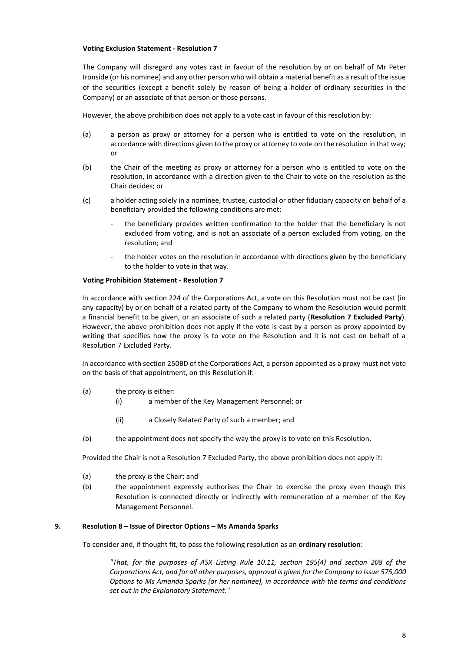The Company will disregard any votes cast in favour of the resolution by or on behalf of Mr Peter Ironside (or his nominee) and any other person who will obtain a material benefit as a result of the issue of the securities (except a benefit solely by reason of being a holder of ordinary securities in the Company) or an associate of that person or those persons.

However, the above prohibition does not apply to a vote cast in favour of this resolution by:

- (a) a person as proxy or attorney for a person who is entitled to vote on the resolution, in accordance with directions given to the proxy or attorney to vote on the resolution in that way; or
- (b) the Chair of the meeting as proxy or attorney for a person who is entitled to vote on the resolution, in accordance with a direction given to the Chair to vote on the resolution as the Chair decides; or
- (c) a holder acting solely in a nominee, trustee, custodial or other fiduciary capacity on behalf of a beneficiary provided the following conditions are met:
	- the beneficiary provides written confirmation to the holder that the beneficiary is not excluded from voting, and is not an associate of a person excluded from voting, on the resolution; and
	- the holder votes on the resolution in accordance with directions given by the beneficiary to the holder to vote in that way.

#### **Voting Prohibition Statement - Resolution 7**

In accordance with section 224 of the Corporations Act, a vote on this Resolution must not be cast (in any capacity) by or on behalf of a related party of the Company to whom the Resolution would permit a financial benefit to be given, or an associate of such a related party (**Resolution 7 Excluded Party**). However, the above prohibition does not apply if the vote is cast by a person as proxy appointed by writing that specifies how the proxy is to vote on the Resolution and it is not cast on behalf of a Resolution 7 Excluded Party.

In accordance with section 250BD of the Corporations Act, a person appointed as a proxy must not vote on the basis of that appointment, on this Resolution if:

- (a) the proxy is either:
	- (i) a member of the Key Management Personnel; or
	- (ii) a Closely Related Party of such a member; and
- (b) the appointment does not specify the way the proxy is to vote on this Resolution.

Provided the Chair is not a Resolution 7 Excluded Party, the above prohibition does not apply if:

- (a) the proxy is the Chair; and
- (b) the appointment expressly authorises the Chair to exercise the proxy even though this Resolution is connected directly or indirectly with remuneration of a member of the Key Management Personnel.

#### **9. Resolution 8 – Issue of Director Options – Ms Amanda Sparks**

To consider and, if thought fit, to pass the following resolution as an **ordinary resolution**:

*"That, for the purposes of ASX Listing Rule 10.11, section 195(4) and section 208 of the Corporations Act, and for all other purposes, approval is given for the Company to issue 575,000 Options to Ms Amanda Sparks (or her nominee), in accordance with the terms and conditions set out in the Explanatory Statement."*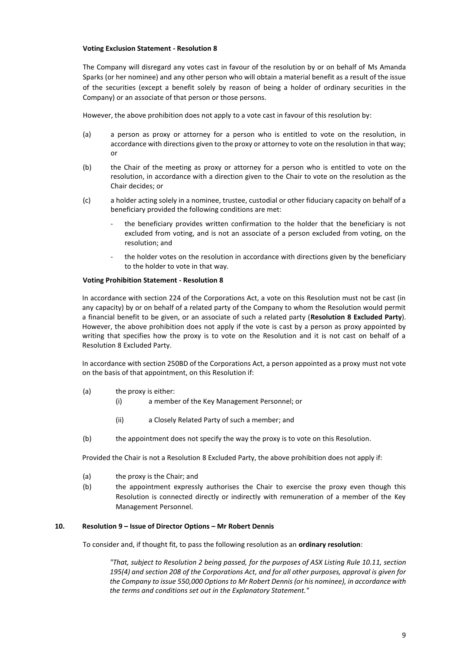The Company will disregard any votes cast in favour of the resolution by or on behalf of Ms Amanda Sparks (or her nominee) and any other person who will obtain a material benefit as a result of the issue of the securities (except a benefit solely by reason of being a holder of ordinary securities in the Company) or an associate of that person or those persons.

However, the above prohibition does not apply to a vote cast in favour of this resolution by:

- (a) a person as proxy or attorney for a person who is entitled to vote on the resolution, in accordance with directions given to the proxy or attorney to vote on the resolution in that way; or
- (b) the Chair of the meeting as proxy or attorney for a person who is entitled to vote on the resolution, in accordance with a direction given to the Chair to vote on the resolution as the Chair decides; or
- (c) a holder acting solely in a nominee, trustee, custodial or other fiduciary capacity on behalf of a beneficiary provided the following conditions are met:
	- the beneficiary provides written confirmation to the holder that the beneficiary is not excluded from voting, and is not an associate of a person excluded from voting, on the resolution; and
	- the holder votes on the resolution in accordance with directions given by the beneficiary to the holder to vote in that way.

#### **Voting Prohibition Statement - Resolution 8**

In accordance with section 224 of the Corporations Act, a vote on this Resolution must not be cast (in any capacity) by or on behalf of a related party of the Company to whom the Resolution would permit a financial benefit to be given, or an associate of such a related party (**Resolution 8 Excluded Party**). However, the above prohibition does not apply if the vote is cast by a person as proxy appointed by writing that specifies how the proxy is to vote on the Resolution and it is not cast on behalf of a Resolution 8 Excluded Party.

In accordance with section 250BD of the Corporations Act, a person appointed as a proxy must not vote on the basis of that appointment, on this Resolution if:

- (a) the proxy is either:
	- (i) a member of the Key Management Personnel; or
	- (ii) a Closely Related Party of such a member; and
- (b) the appointment does not specify the way the proxy is to vote on this Resolution.

Provided the Chair is not a Resolution 8 Excluded Party, the above prohibition does not apply if:

- (a) the proxy is the Chair; and
- (b) the appointment expressly authorises the Chair to exercise the proxy even though this Resolution is connected directly or indirectly with remuneration of a member of the Key Management Personnel.

#### **10. Resolution 9 – Issue of Director Options – Mr Robert Dennis**

To consider and, if thought fit, to pass the following resolution as an **ordinary resolution**:

*"That, subject to Resolution 2 being passed, for the purposes of ASX Listing Rule 10.11, section 195(4) and section 208 of the Corporations Act, and for all other purposes, approval is given for the Company to issue 550,000 Options to Mr Robert Dennis (or his nominee), in accordance with the terms and conditions set out in the Explanatory Statement."*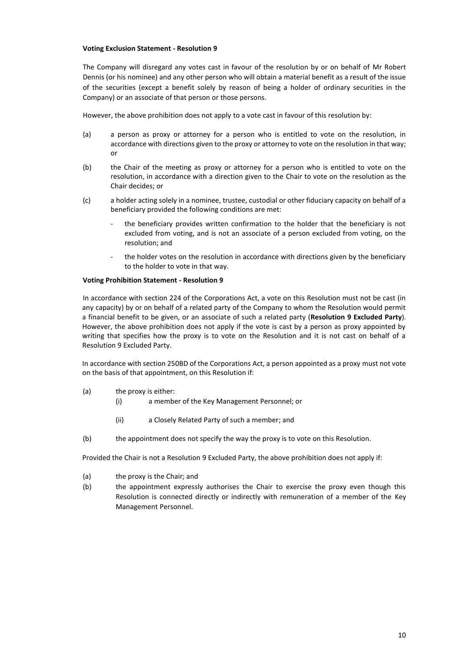The Company will disregard any votes cast in favour of the resolution by or on behalf of Mr Robert Dennis (or his nominee) and any other person who will obtain a material benefit as a result of the issue of the securities (except a benefit solely by reason of being a holder of ordinary securities in the Company) or an associate of that person or those persons.

However, the above prohibition does not apply to a vote cast in favour of this resolution by:

- (a) a person as proxy or attorney for a person who is entitled to vote on the resolution, in accordance with directions given to the proxy or attorney to vote on the resolution in that way; or
- (b) the Chair of the meeting as proxy or attorney for a person who is entitled to vote on the resolution, in accordance with a direction given to the Chair to vote on the resolution as the Chair decides; or
- (c) a holder acting solely in a nominee, trustee, custodial or other fiduciary capacity on behalf of a beneficiary provided the following conditions are met:
	- the beneficiary provides written confirmation to the holder that the beneficiary is not excluded from voting, and is not an associate of a person excluded from voting, on the resolution; and
	- the holder votes on the resolution in accordance with directions given by the beneficiary to the holder to vote in that way.

#### **Voting Prohibition Statement - Resolution 9**

In accordance with section 224 of the Corporations Act, a vote on this Resolution must not be cast (in any capacity) by or on behalf of a related party of the Company to whom the Resolution would permit a financial benefit to be given, or an associate of such a related party (**Resolution 9 Excluded Party**). However, the above prohibition does not apply if the vote is cast by a person as proxy appointed by writing that specifies how the proxy is to vote on the Resolution and it is not cast on behalf of a Resolution 9 Excluded Party.

In accordance with section 250BD of the Corporations Act, a person appointed as a proxy must not vote on the basis of that appointment, on this Resolution if:

- (a) the proxy is either:
	- (i) a member of the Key Management Personnel; or
	- (ii) a Closely Related Party of such a member; and
- (b) the appointment does not specify the way the proxy is to vote on this Resolution.

Provided the Chair is not a Resolution 9 Excluded Party, the above prohibition does not apply if:

- (a) the proxy is the Chair; and
- (b) the appointment expressly authorises the Chair to exercise the proxy even though this Resolution is connected directly or indirectly with remuneration of a member of the Key Management Personnel.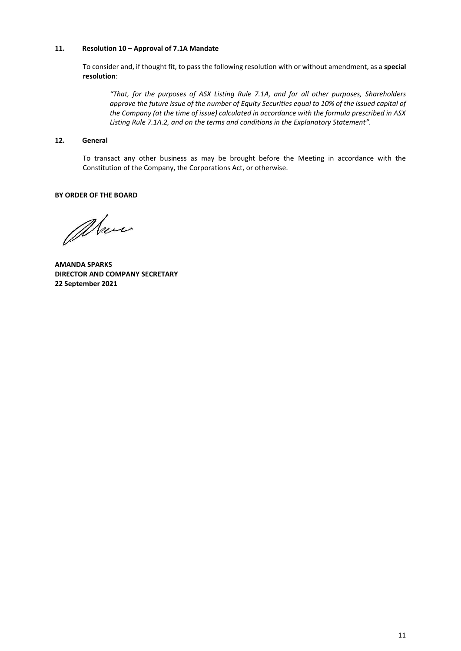# **11. Resolution 10 – Approval of 7.1A Mandate**

To consider and, if thought fit, to pass the following resolution with or without amendment, as a **special resolution**:

*"That, for the purposes of ASX Listing Rule 7.1A, and for all other purposes, Shareholders approve the future issue of the number of Equity Securities equal to 10% of the issued capital of the Company (at the time of issue) calculated in accordance with the formula prescribed in ASX Listing Rule 7.1A.2, and on the terms and conditions in the Explanatory Statement".*

# **12. General**

To transact any other business as may be brought before the Meeting in accordance with the Constitution of the Company, the Corporations Act, or otherwise.

#### **BY ORDER OF THE BOARD**

alan

**AMANDA SPARKS DIRECTOR AND COMPANY SECRETARY 22 September 2021**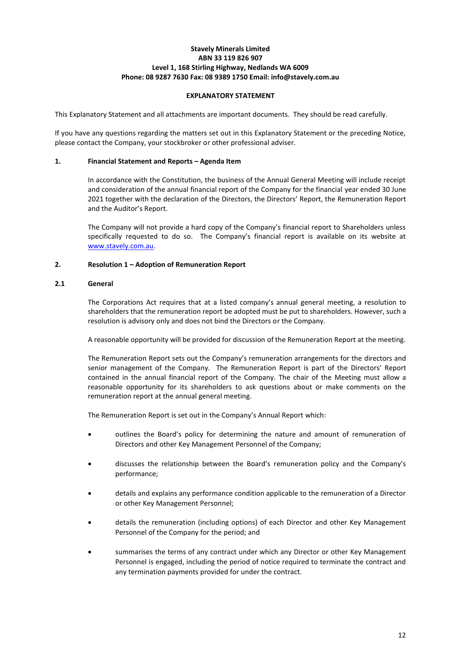# **Stavely Minerals Limited ABN 33 119 826 907 Level 1, 168 Stirling Highway, Nedlands WA 6009 Phone: 08 9287 7630 Fax: 08 9389 1750 Email: info@stavely.com.au**

#### **EXPLANATORY STATEMENT**

This Explanatory Statement and all attachments are important documents. They should be read carefully.

If you have any questions regarding the matters set out in this Explanatory Statement or the preceding Notice, please contact the Company, your stockbroker or other professional adviser.

## <span id="page-11-0"></span>**1. Financial Statement and Reports – Agenda Item**

In accordance with the Constitution, the business of the Annual General Meeting will include receipt and consideration of the annual financial report of the Company for the financial year ended 30 June 2021 together with the declaration of the Directors, the Directors' Report, the Remuneration Report and the Auditor's Report.

The Company will not provide a hard copy of the Company's financial report to Shareholders unless specifically requested to do so. The Company's financial report is available on its website at [www.stavely.com.au.](http://www.stavely.com.au/)

# **2. Resolution 1 – Adoption of Remuneration Report**

#### **2.1 General**

The Corporations Act requires that at a listed company's annual general meeting, a resolution to shareholders that the remuneration report be adopted must be put to shareholders. However, such a resolution is advisory only and does not bind the Directors or the Company.

A reasonable opportunity will be provided for discussion of the Remuneration Report at the meeting.

The Remuneration Report sets out the Company's remuneration arrangements for the directors and senior management of the Company. The Remuneration Report is part of the Directors' Report contained in the annual financial report of the Company. The chair of the Meeting must allow a reasonable opportunity for its shareholders to ask questions about or make comments on the remuneration report at the annual general meeting.

The Remuneration Report is set out in the Company's Annual Report which:

- outlines the Board's policy for determining the nature and amount of remuneration of Directors and other Key Management Personnel of the Company;
- discusses the relationship between the Board's remuneration policy and the Company's performance;
- details and explains any performance condition applicable to the remuneration of a Director or other Key Management Personnel;
- details the remuneration (including options) of each Director and other Key Management Personnel of the Company for the period; and
- summarises the terms of any contract under which any Director or other Key Management Personnel is engaged, including the period of notice required to terminate the contract and any termination payments provided for under the contract.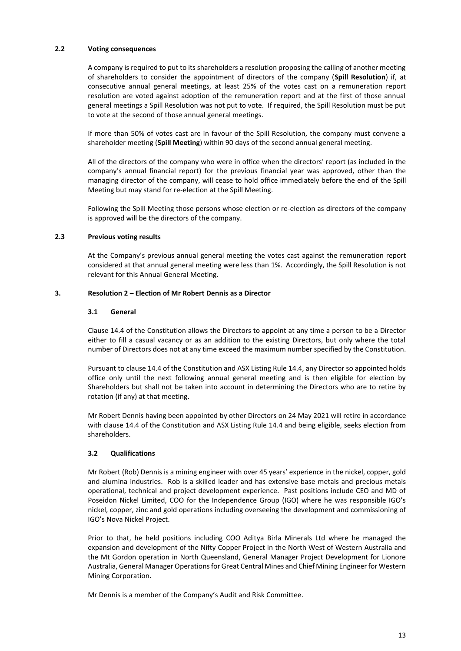#### **2.2 Voting consequences**

A company is required to put to its shareholders a resolution proposing the calling of another meeting of shareholders to consider the appointment of directors of the company (**Spill Resolution**) if, at consecutive annual general meetings, at least 25% of the votes cast on a remuneration report resolution are voted against adoption of the remuneration report and at the first of those annual general meetings a Spill Resolution was not put to vote. If required, the Spill Resolution must be put to vote at the second of those annual general meetings.

If more than 50% of votes cast are in favour of the Spill Resolution, the company must convene a shareholder meeting (**Spill Meeting**) within 90 days of the second annual general meeting.

All of the directors of the company who were in office when the directors' report (as included in the company's annual financial report) for the previous financial year was approved, other than the managing director of the company, will cease to hold office immediately before the end of the Spill Meeting but may stand for re-election at the Spill Meeting.

Following the Spill Meeting those persons whose election or re-election as directors of the company is approved will be the directors of the company.

#### **2.3 Previous voting results**

At the Company's previous annual general meeting the votes cast against the remuneration report considered at that annual general meeting were less than 1%. Accordingly, the Spill Resolution is not relevant for this Annual General Meeting.

#### **3. Resolution 2 – Election of Mr Robert Dennis as a Director**

#### **3.1 General**

Clause 14.4 of the Constitution allows the Directors to appoint at any time a person to be a Director either to fill a casual vacancy or as an addition to the existing Directors, but only where the total number of Directors does not at any time exceed the maximum number specified by the Constitution.

Pursuant to clause 14.4 of the Constitution and ASX Listing Rule 14.4, any Director so appointed holds office only until the next following annual general meeting and is then eligible for election by Shareholders but shall not be taken into account in determining the Directors who are to retire by rotation (if any) at that meeting.

Mr Robert Dennis having been appointed by other Directors on 24 May 2021 will retire in accordance with clause 14.4 of the Constitution and ASX Listing Rule 14.4 and being eligible, seeks election from shareholders.

#### **3.2 Qualifications**

Mr Robert (Rob) Dennis is a mining engineer with over 45 years' experience in the nickel, copper, gold and alumina industries. Rob is a skilled leader and has extensive base metals and precious metals operational, technical and project development experience. Past positions include CEO and MD of Poseidon Nickel Limited, COO for the Independence Group (IGO) where he was responsible IGO's nickel, copper, zinc and gold operations including overseeing the development and commissioning of IGO's Nova Nickel Project.

Prior to that, he held positions including COO Aditya Birla Minerals Ltd where he managed the expansion and development of the Nifty Copper Project in the North West of Western Australia and the Mt Gordon operation in North Queensland, General Manager Project Development for Lionore Australia, General Manager Operations for Great Central Mines and Chief Mining Engineer for Western Mining Corporation.

Mr Dennis is a member of the Company's Audit and Risk Committee.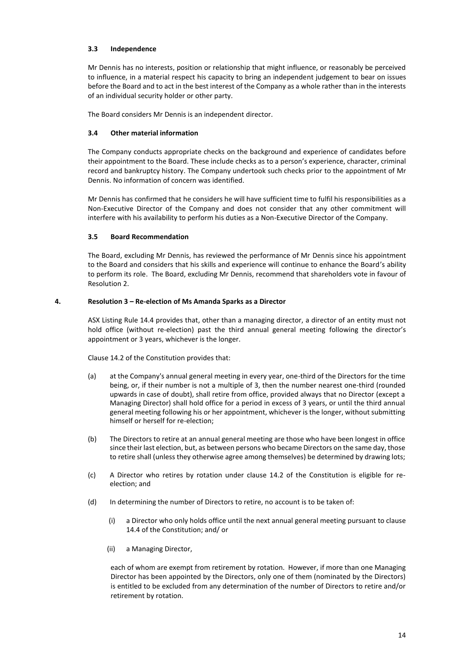# **3.3 Independence**

Mr Dennis has no interests, position or relationship that might influence, or reasonably be perceived to influence, in a material respect his capacity to bring an independent judgement to bear on issues before the Board and to act in the best interest of the Company as a whole rather than in the interests of an individual security holder or other party.

The Board considers Mr Dennis is an independent director.

# **3.4 Other material information**

The Company conducts appropriate checks on the background and experience of candidates before their appointment to the Board. These include checks as to a person's experience, character, criminal record and bankruptcy history. The Company undertook such checks prior to the appointment of Mr Dennis. No information of concern was identified.

Mr Dennis has confirmed that he considers he will have sufficient time to fulfil his responsibilities as a Non-Executive Director of the Company and does not consider that any other commitment will interfere with his availability to perform his duties as a Non-Executive Director of the Company.

# **3.5 Board Recommendation**

The Board, excluding Mr Dennis, has reviewed the performance of Mr Dennis since his appointment to the Board and considers that his skills and experience will continue to enhance the Board's ability to perform its role. The Board, excluding Mr Dennis, recommend that shareholders vote in favour of Resolution 2.

# **4. Resolution 3 – Re-election of Ms Amanda Sparks as a Director**

ASX Listing Rule 14.4 provides that, other than a managing director, a director of an entity must not hold office (without re-election) past the third annual general meeting following the director's appointment or 3 years, whichever is the longer.

Clause 14.2 of the Constitution provides that:

- (a) at the Company's annual general meeting in every year, one-third of the Directors for the time being, or, if their number is not a multiple of 3, then the number nearest one-third (rounded upwards in case of doubt), shall retire from office, provided always that no Director (except a Managing Director) shall hold office for a period in excess of 3 years, or until the third annual general meeting following his or her appointment, whichever is the longer, without submitting himself or herself for re-election;
- (b) The Directors to retire at an annual general meeting are those who have been longest in office since their last election, but, as between persons who became Directors on the same day, those to retire shall (unless they otherwise agree among themselves) be determined by drawing lots;
- (c) A Director who retires by rotation under clause 14.2 of the Constitution is eligible for reelection; and
- (d) In determining the number of Directors to retire, no account is to be taken of:
	- (i) a Director who only holds office until the next annual general meeting pursuant to clause 14.4 of the Constitution; and/ or
	- (ii) a Managing Director,

each of whom are exempt from retirement by rotation. However, if more than one Managing Director has been appointed by the Directors, only one of them (nominated by the Directors) is entitled to be excluded from any determination of the number of Directors to retire and/or retirement by rotation.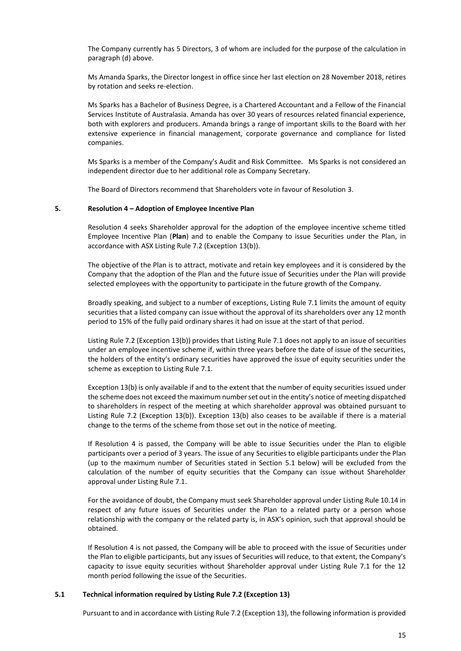The Company currently has 5 Directors, 3 of whom are included for the purpose of the calculation in paragraph (d) above.

Ms Amanda Sparks, the Director longest in office since her last election on 28 November 2018, retires by rotation and seeks re-election.

Ms Sparks has a Bachelor of Business Degree, is a Chartered Accountant and a Fellow of the Financial Services Institute of Australasia. Amanda has over 30 years of resources related financial experience, both with explorers and producers. Amanda brings a range of important skills to the Board with her extensive experience in financial management, corporate governance and compliance for listed companies.

Ms Sparks is a member of the Company's Audit and Risk Committee. Ms Sparks is not considered an independent director due to her additional role as Company Secretary.

The Board of Directors recommend that Shareholders vote in favour of Resolution 3.

#### **5. Resolution 4 – Adoption of Employee Incentive Plan**

Resolution 4 seeks Shareholder approval for the adoption of the employee incentive scheme titled Employee Incentive Plan (**Plan**) and to enable the Company to issue Securities under the Plan, in accordance with ASX Listing Rule 7.2 (Exception 13(b)).

The objective of the Plan is to attract, motivate and retain key employees and it is considered by the Company that the adoption of the Plan and the future issue of Securities under the Plan will provide selected employees with the opportunity to participate in the future growth of the Company.

Broadly speaking, and subject to a number of exceptions, Listing Rule 7.1 limits the amount of equity securities that a listed company can issue without the approval of its shareholders over any 12 month period to 15% of the fully paid ordinary shares it had on issue at the start of that period.

Listing Rule 7.2 (Exception 13(b)) provides that Listing Rule 7.1 does not apply to an issue of securities under an employee incentive scheme if, within three years before the date of issue of the securities, the holders of the entity's ordinary securities have approved the issue of equity securities under the scheme as exception to Listing Rule 7.1.

Exception 13(b) is only available if and to the extent that the number of equity securities issued under the scheme does not exceed the maximum number set out in the entity's notice of meeting dispatched to shareholders in respect of the meeting at which shareholder approval was obtained pursuant to Listing Rule 7.2 (Exception 13(b)). Exception 13(b) also ceases to be available if there is a material change to the terms of the scheme from those set out in the notice of meeting.

If Resolution 4 is passed, the Company will be able to issue Securities under the Plan to eligible participants over a period of 3 years. The issue of any Securities to eligible participants under the Plan (up to the maximum number of Securities stated in Section 5.1 below) will be excluded from the calculation of the number of equity securities that the Company can issue without Shareholder approval under Listing Rule 7.1.

For the avoidance of doubt, the Company must seek Shareholder approval under Listing Rule 10.14 in respect of any future issues of Securities under the Plan to a related party or a person whose relationship with the company or the related party is, in ASX's opinion, such that approval should be obtained.

If Resolution 4 is not passed, the Company will be able to proceed with the issue of Securities under the Plan to eligible participants, but any issues of Securities will reduce, to that extent, the Company's capacity to issue equity securities without Shareholder approval under Listing Rule 7.1 for the 12 month period following the issue of the Securities.

#### **5.1 Technical information required by Listing Rule 7.2 (Exception 13)**

Pursuant to and in accordance with Listing Rule 7.2 (Exception 13), the following information is provided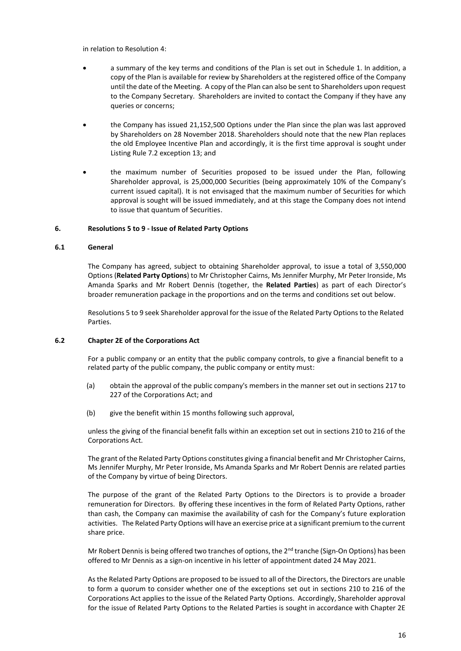in relation to Resolution 4:

- a summary of the key terms and conditions of the Plan is set out in Schedule 1. In addition, a copy of the Plan is available for review by Shareholders at the registered office of the Company until the date of the Meeting. A copy of the Plan can also be sent to Shareholders upon request to the Company Secretary. Shareholders are invited to contact the Company if they have any queries or concerns;
- the Company has issued 21,152,500 Options under the Plan since the plan was last approved by Shareholders on 28 November 2018. Shareholders should note that the new Plan replaces the old Employee Incentive Plan and accordingly, it is the first time approval is sought under Listing Rule 7.2 exception 13; and
- the maximum number of Securities proposed to be issued under the Plan, following Shareholder approval, is 25,000,000 Securities (being approximately 10% of the Company's current issued capital). It is not envisaged that the maximum number of Securities for which approval is sought will be issued immediately, and at this stage the Company does not intend to issue that quantum of Securities.

#### **6. Resolutions 5 to 9 - Issue of Related Party Options**

#### **6.1 General**

The Company has agreed, subject to obtaining Shareholder approval, to issue a total of 3,550,000 Options (**Related Party Options**) to Mr Christopher Cairns, Ms Jennifer Murphy, Mr Peter Ironside, Ms Amanda Sparks and Mr Robert Dennis (together, the **Related Parties**) as part of each Director's broader remuneration package in the proportions and on the terms and conditions set out below.

Resolutions 5 to 9 seek Shareholder approval for the issue of the Related Party Options to the Related Parties.

#### **6.2 Chapter 2E of the Corporations Act**

For a public company or an entity that the public company controls, to give a financial benefit to a related party of the public company, the public company or entity must:

- (a) obtain the approval of the public company's members in the manner set out in sections 217 to 227 of the Corporations Act; and
- (b) give the benefit within 15 months following such approval,

unless the giving of the financial benefit falls within an exception set out in sections 210 to 216 of the Corporations Act.

The grant of the Related Party Options constitutes giving a financial benefit and Mr Christopher Cairns, Ms Jennifer Murphy, Mr Peter Ironside, Ms Amanda Sparks and Mr Robert Dennis are related parties of the Company by virtue of being Directors.

The purpose of the grant of the Related Party Options to the Directors is to provide a broader remuneration for Directors. By offering these incentives in the form of Related Party Options, rather than cash, the Company can maximise the availability of cash for the Company's future exploration activities. The Related Party Options will have an exercise price at a significant premium to the current share price.

Mr Robert Dennis is being offered two tranches of options, the  $2<sup>nd</sup>$  tranche (Sign-On Options) has been offered to Mr Dennis as a sign-on incentive in his letter of appointment dated 24 May 2021.

As the Related Party Options are proposed to be issued to all of the Directors, the Directors are unable to form a quorum to consider whether one of the exceptions set out in sections 210 to 216 of the Corporations Act applies to the issue of the Related Party Options. Accordingly, Shareholder approval for the issue of Related Party Options to the Related Parties is sought in accordance with Chapter 2E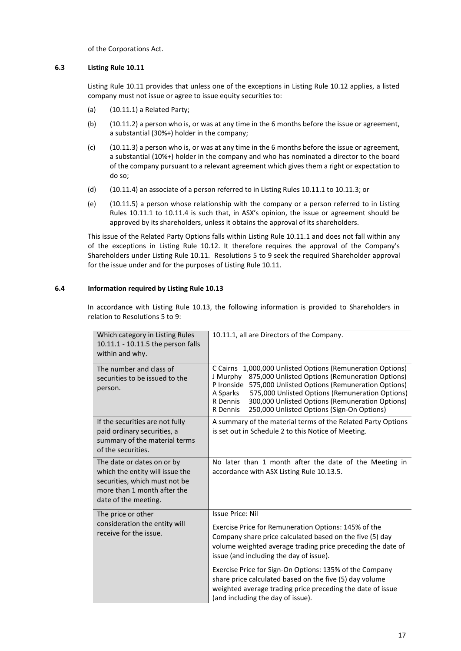of the Corporations Act.

## **6.3 Listing Rule 10.11**

Listing Rule 10.11 provides that unless one of the exceptions in Listing Rule 10.12 applies, a listed company must not issue or agree to issue equity securities to:

- (a) (10.11.1) a Related Party;
- (b) (10.11.2) a person who is, or was at any time in the 6 months before the issue or agreement, a substantial (30%+) holder in the company;
- (c) (10.11.3) a person who is, or was at any time in the 6 months before the issue or agreement, a substantial (10%+) holder in the company and who has nominated a director to the board of the company pursuant to a relevant agreement which gives them a right or expectation to do so;
- (d) (10.11.4) an associate of a person referred to in Listing Rules 10.11.1 to 10.11.3; or
- (e) (10.11.5) a person whose relationship with the company or a person referred to in Listing Rules 10.11.1 to 10.11.4 is such that, in ASX's opinion, the issue or agreement should be approved by its shareholders, unless it obtains the approval of its shareholders.

This issue of the Related Party Options falls within Listing Rule 10.11.1 and does not fall within any of the exceptions in Listing Rule 10.12. It therefore requires the approval of the Company's Shareholders under Listing Rule 10.11. Resolutions 5 to 9 seek the required Shareholder approval for the issue under and for the purposes of Listing Rule 10.11.

# **6.4 Information required by Listing Rule 10.13**

In accordance with Listing Rule 10.13, the following information is provided to Shareholders in relation to Resolutions 5 to 9:

| Which category in Listing Rules<br>10.11.1 - 10.11.5 the person falls<br>within and why.                                                              | 10.11.1, all are Directors of the Company.                                                                                                                                                                                                                                                                                                                                            |  |
|-------------------------------------------------------------------------------------------------------------------------------------------------------|---------------------------------------------------------------------------------------------------------------------------------------------------------------------------------------------------------------------------------------------------------------------------------------------------------------------------------------------------------------------------------------|--|
| The number and class of<br>securities to be issued to the<br>person.                                                                                  | 1,000,000 Unlisted Options (Remuneration Options)<br>C Cairns<br>875,000 Unlisted Options (Remuneration Options)<br>J Murphy<br>P Ironside<br>575,000 Unlisted Options (Remuneration Options)<br>A Sparks<br>575,000 Unlisted Options (Remuneration Options)<br>300,000 Unlisted Options (Remuneration Options)<br>R Dennis<br>250,000 Unlisted Options (Sign-On Options)<br>R Dennis |  |
| If the securities are not fully<br>paid ordinary securities, a<br>summary of the material terms<br>of the securities.                                 | A summary of the material terms of the Related Party Options<br>is set out in Schedule 2 to this Notice of Meeting.                                                                                                                                                                                                                                                                   |  |
| The date or dates on or by<br>which the entity will issue the<br>securities, which must not be<br>more than 1 month after the<br>date of the meeting. | No later than 1 month after the date of the Meeting in<br>accordance with ASX Listing Rule 10.13.5.                                                                                                                                                                                                                                                                                   |  |
| The price or other<br>consideration the entity will<br>receive for the issue.                                                                         | <b>Issue Price: Nil</b><br>Exercise Price for Remuneration Options: 145% of the<br>Company share price calculated based on the five (5) day<br>volume weighted average trading price preceding the date of<br>issue (and including the day of issue).<br>Exercise Price for Sign-On Options: 135% of the Company<br>share price calculated based on the five (5) day volume           |  |
|                                                                                                                                                       | weighted average trading price preceding the date of issue<br>(and including the day of issue).                                                                                                                                                                                                                                                                                       |  |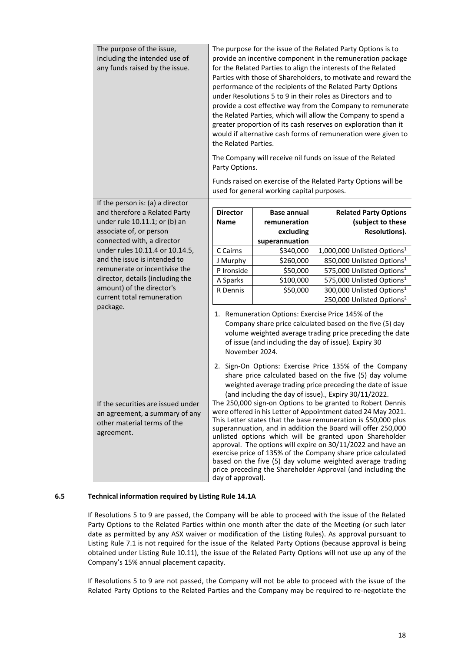| The purpose of the issue,<br>including the intended use of<br>any funds raised by the issue.                      | The purpose for the issue of the Related Party Options is to<br>provide an incentive component in the remuneration package<br>for the Related Parties to align the interests of the Related<br>Parties with those of Shareholders, to motivate and reward the<br>performance of the recipients of the Related Party Options<br>under Resolutions 5 to 9 in their roles as Directors and to<br>provide a cost effective way from the Company to remunerate<br>the Related Parties, which will allow the Company to spend a<br>greater proportion of its cash reserves on exploration than it<br>would if alternative cash forms of remuneration were given to<br>the Related Parties.<br>The Company will receive nil funds on issue of the Related<br>Party Options.<br>Funds raised on exercise of the Related Party Options will be |                                            |                                                                                |  |
|-------------------------------------------------------------------------------------------------------------------|---------------------------------------------------------------------------------------------------------------------------------------------------------------------------------------------------------------------------------------------------------------------------------------------------------------------------------------------------------------------------------------------------------------------------------------------------------------------------------------------------------------------------------------------------------------------------------------------------------------------------------------------------------------------------------------------------------------------------------------------------------------------------------------------------------------------------------------|--------------------------------------------|--------------------------------------------------------------------------------|--|
|                                                                                                                   |                                                                                                                                                                                                                                                                                                                                                                                                                                                                                                                                                                                                                                                                                                                                                                                                                                       |                                            |                                                                                |  |
|                                                                                                                   |                                                                                                                                                                                                                                                                                                                                                                                                                                                                                                                                                                                                                                                                                                                                                                                                                                       | used for general working capital purposes. |                                                                                |  |
| If the person is: (a) a director<br>and therefore a Related Party                                                 | <b>Director</b>                                                                                                                                                                                                                                                                                                                                                                                                                                                                                                                                                                                                                                                                                                                                                                                                                       | <b>Base annual</b>                         | <b>Related Party Options</b>                                                   |  |
| under rule 10.11.1; or (b) an                                                                                     | <b>Name</b>                                                                                                                                                                                                                                                                                                                                                                                                                                                                                                                                                                                                                                                                                                                                                                                                                           | remuneration                               | (subject to these                                                              |  |
| associate of, or person                                                                                           |                                                                                                                                                                                                                                                                                                                                                                                                                                                                                                                                                                                                                                                                                                                                                                                                                                       | excluding                                  | Resolutions).                                                                  |  |
| connected with, a director                                                                                        |                                                                                                                                                                                                                                                                                                                                                                                                                                                                                                                                                                                                                                                                                                                                                                                                                                       | superannuation                             |                                                                                |  |
| under rules 10.11.4 or 10.14.5,                                                                                   | C Cairns                                                                                                                                                                                                                                                                                                                                                                                                                                                                                                                                                                                                                                                                                                                                                                                                                              | \$340,000                                  | 1,000,000 Unlisted Options <sup>1</sup>                                        |  |
| and the issue is intended to<br>remunerate or incentivise the                                                     | J Murphy                                                                                                                                                                                                                                                                                                                                                                                                                                                                                                                                                                                                                                                                                                                                                                                                                              | \$260,000                                  | 850,000 Unlisted Options <sup>1</sup>                                          |  |
| director, details (including the                                                                                  | P Ironside                                                                                                                                                                                                                                                                                                                                                                                                                                                                                                                                                                                                                                                                                                                                                                                                                            | \$50,000                                   | 575,000 Unlisted Options <sup>1</sup><br>575,000 Unlisted Options <sup>1</sup> |  |
| amount) of the director's                                                                                         | A Sparks<br>R Dennis                                                                                                                                                                                                                                                                                                                                                                                                                                                                                                                                                                                                                                                                                                                                                                                                                  | \$100,000<br>\$50,000                      | 300,000 Unlisted Options <sup>1</sup>                                          |  |
| current total remuneration                                                                                        |                                                                                                                                                                                                                                                                                                                                                                                                                                                                                                                                                                                                                                                                                                                                                                                                                                       |                                            | 250,000 Unlisted Options <sup>2</sup>                                          |  |
| package.                                                                                                          | 1. Remuneration Options: Exercise Price 145% of the<br>Company share price calculated based on the five (5) day<br>volume weighted average trading price preceding the date<br>of issue (and including the day of issue). Expiry 30<br>2. Sign-On Options: Exercise Price 135% of the Company<br>share price calculated based on the five (5) day volume<br>weighted average trading price preceding the date of issue                                                                                                                                                                                                                                                                                                                                                                                                                |                                            |                                                                                |  |
| If the securities are issued under<br>an agreement, a summary of any<br>other material terms of the<br>agreement. | (and including the day of issue)., Expiry 30/11/2022.<br>The 250,000 sign-on Options to be granted to Robert Dennis<br>were offered in his Letter of Appointment dated 24 May 2021.<br>This Letter states that the base remuneration is \$50,000 plus<br>superannuation, and in addition the Board will offer 250,000<br>unlisted options which will be granted upon Shareholder<br>approval. The options will expire on 30/11/2022 and have an<br>exercise price of 135% of the Company share price calculated<br>based on the five (5) day volume weighted average trading<br>price preceding the Shareholder Approval (and including the<br>day of approval).                                                                                                                                                                      |                                            |                                                                                |  |

# **6.5 Technical information required by Listing Rule 14.1A**

If Resolutions 5 to 9 are passed, the Company will be able to proceed with the issue of the Related Party Options to the Related Parties within one month after the date of the Meeting (or such later date as permitted by any ASX waiver or modification of the Listing Rules). As approval pursuant to Listing Rule 7.1 is not required for the issue of the Related Party Options (because approval is being obtained under Listing Rule 10.11), the issue of the Related Party Options will not use up any of the Company's 15% annual placement capacity.

If Resolutions 5 to 9 are not passed, the Company will not be able to proceed with the issue of the Related Party Options to the Related Parties and the Company may be required to re-negotiate the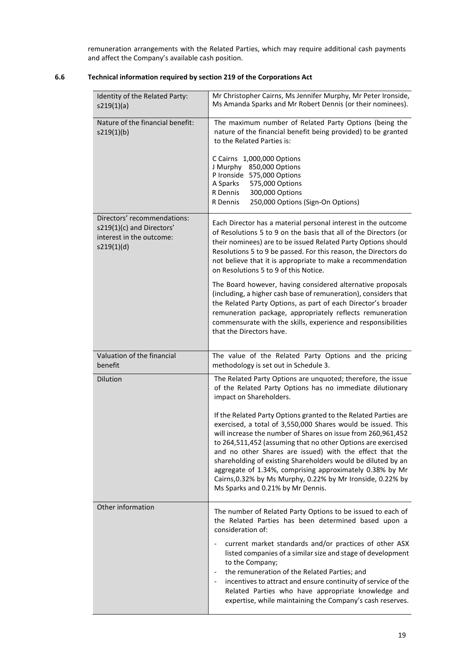remuneration arrangements with the Related Parties, which may require additional cash payments and affect the Company's available cash position.

| 6.6 | Technical information required by section 219 of the Corporations Act |  |  |
|-----|-----------------------------------------------------------------------|--|--|
|     |                                                                       |  |  |

| Identity of the Related Party:<br>s219(1)(a)                                                       | Mr Christopher Cairns, Ms Jennifer Murphy, Mr Peter Ironside,<br>Ms Amanda Sparks and Mr Robert Dennis (or their nominees).                                                                                                                                                                                                                                                                                                                                                                                                                                |  |
|----------------------------------------------------------------------------------------------------|------------------------------------------------------------------------------------------------------------------------------------------------------------------------------------------------------------------------------------------------------------------------------------------------------------------------------------------------------------------------------------------------------------------------------------------------------------------------------------------------------------------------------------------------------------|--|
| Nature of the financial benefit:<br>s219(1)(b)                                                     | The maximum number of Related Party Options (being the<br>nature of the financial benefit being provided) to be granted<br>to the Related Parties is:                                                                                                                                                                                                                                                                                                                                                                                                      |  |
|                                                                                                    | C Cairns 1,000,000 Options<br>J Murphy 850,000 Options<br>P Ironside 575,000 Options                                                                                                                                                                                                                                                                                                                                                                                                                                                                       |  |
|                                                                                                    | A Sparks<br>575,000 Options<br>300,000 Options<br>R Dennis<br>250,000 Options (Sign-On Options)<br>R Dennis                                                                                                                                                                                                                                                                                                                                                                                                                                                |  |
| Directors' recommendations:<br>s219(1)(c) and Directors'<br>interest in the outcome:<br>s219(1)(d) | Each Director has a material personal interest in the outcome<br>of Resolutions 5 to 9 on the basis that all of the Directors (or<br>their nominees) are to be issued Related Party Options should<br>Resolutions 5 to 9 be passed. For this reason, the Directors do<br>not believe that it is appropriate to make a recommendation<br>on Resolutions 5 to 9 of this Notice.                                                                                                                                                                              |  |
|                                                                                                    | The Board however, having considered alternative proposals<br>(including, a higher cash base of remuneration), considers that<br>the Related Party Options, as part of each Director's broader<br>remuneration package, appropriately reflects remuneration<br>commensurate with the skills, experience and responsibilities<br>that the Directors have.                                                                                                                                                                                                   |  |
| Valuation of the financial<br>benefit                                                              | The value of the Related Party Options and the pricing<br>methodology is set out in Schedule 3.                                                                                                                                                                                                                                                                                                                                                                                                                                                            |  |
| Dilution                                                                                           | The Related Party Options are unquoted; therefore, the issue<br>of the Related Party Options has no immediate dilutionary<br>impact on Shareholders.                                                                                                                                                                                                                                                                                                                                                                                                       |  |
|                                                                                                    | If the Related Party Options granted to the Related Parties are<br>exercised, a total of 3,550,000 Shares would be issued. This<br>will increase the number of Shares on issue from 260,961,452<br>to 264,511,452 (assuming that no other Options are exercised<br>and no other Shares are issued) with the effect that the<br>shareholding of existing Shareholders would be diluted by an<br>aggregate of 1.34%, comprising approximately 0.38% by Mr<br>Cairns, 0.32% by Ms Murphy, 0.22% by Mr Ironside, 0.22% by<br>Ms Sparks and 0.21% by Mr Dennis. |  |
| Other information                                                                                  | The number of Related Party Options to be issued to each of<br>the Related Parties has been determined based upon a<br>consideration of:                                                                                                                                                                                                                                                                                                                                                                                                                   |  |
|                                                                                                    | current market standards and/or practices of other ASX<br>listed companies of a similar size and stage of development<br>to the Company;<br>the remuneration of the Related Parties; and<br>incentives to attract and ensure continuity of service of the<br>Related Parties who have appropriate knowledge and<br>expertise, while maintaining the Company's cash reserves.                                                                                                                                                                               |  |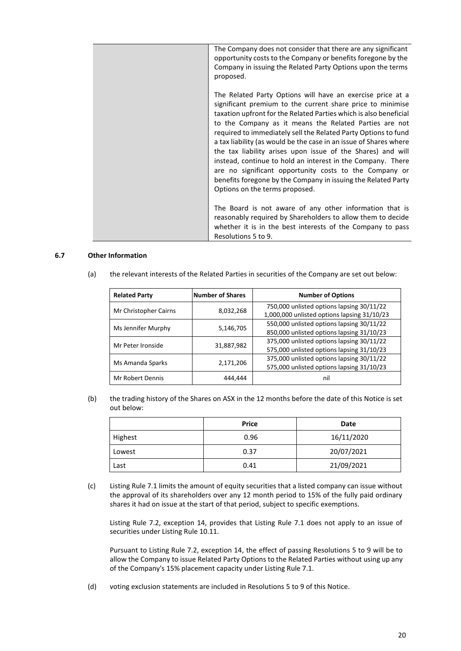|  | The Company does not consider that there are any significant<br>opportunity costs to the Company or benefits foregone by the<br>Company in issuing the Related Party Options upon the terms<br>proposed.                                                                                                                                                                                                                                                                                                                                                                                                                                                                                  |
|--|-------------------------------------------------------------------------------------------------------------------------------------------------------------------------------------------------------------------------------------------------------------------------------------------------------------------------------------------------------------------------------------------------------------------------------------------------------------------------------------------------------------------------------------------------------------------------------------------------------------------------------------------------------------------------------------------|
|  | The Related Party Options will have an exercise price at a<br>significant premium to the current share price to minimise<br>taxation upfront for the Related Parties which is also beneficial<br>to the Company as it means the Related Parties are not<br>required to immediately sell the Related Party Options to fund<br>a tax liability (as would be the case in an issue of Shares where<br>the tax liability arises upon issue of the Shares) and will<br>instead, continue to hold an interest in the Company. There<br>are no significant opportunity costs to the Company or<br>benefits foregone by the Company in issuing the Related Party<br>Options on the terms proposed. |
|  | The Board is not aware of any other information that is<br>reasonably required by Shareholders to allow them to decide<br>whether it is in the best interests of the Company to pass<br>Resolutions 5 to 9.                                                                                                                                                                                                                                                                                                                                                                                                                                                                               |

#### **6.7 Other Information**

| <b>Related Party</b>  | <b>Number of Shares</b> | <b>Number of Options</b>                                                                 |
|-----------------------|-------------------------|------------------------------------------------------------------------------------------|
| Mr Christopher Cairns | 8,032,268               | 750,000 unlisted options lapsing 30/11/22<br>1,000,000 unlisted options lapsing 31/10/23 |
| Ms Jennifer Murphy    | 5,146,705               | 550,000 unlisted options lapsing 30/11/22<br>850,000 unlisted options lapsing 31/10/23   |
| Mr Peter Ironside     | 31,887,982              | 375,000 unlisted options lapsing 30/11/22<br>575,000 unlisted options lapsing 31/10/23   |
| Ms Amanda Sparks      | 2,171,206               | 375,000 unlisted options lapsing 30/11/22<br>575,000 unlisted options lapsing 31/10/23   |
| Mr Robert Dennis      | 444,444                 | nil                                                                                      |

(a) the relevant interests of the Related Parties in securities of the Company are set out below:

(b) the trading history of the Shares on ASX in the 12 months before the date of this Notice is set out below:

|         | <b>Price</b> | Date       |
|---------|--------------|------------|
| Highest | 0.96         | 16/11/2020 |
| Lowest  | 0.37         | 20/07/2021 |
| Last    | 0.41         | 21/09/2021 |

(c) Listing Rule 7.1 limits the amount of equity securities that a listed company can issue without the approval of its shareholders over any 12 month period to 15% of the fully paid ordinary shares it had on issue at the start of that period, subject to specific exemptions.

Listing Rule 7.2, exception 14, provides that Listing Rule 7.1 does not apply to an issue of securities under Listing Rule 10.11.

Pursuant to Listing Rule 7.2, exception 14, the effect of passing Resolutions 5 to 9 will be to allow the Company to issue Related Party Options to the Related Parties without using up any of the Company's 15% placement capacity under Listing Rule 7.1.

(d) voting exclusion statements are included in Resolutions 5 to 9 of this Notice.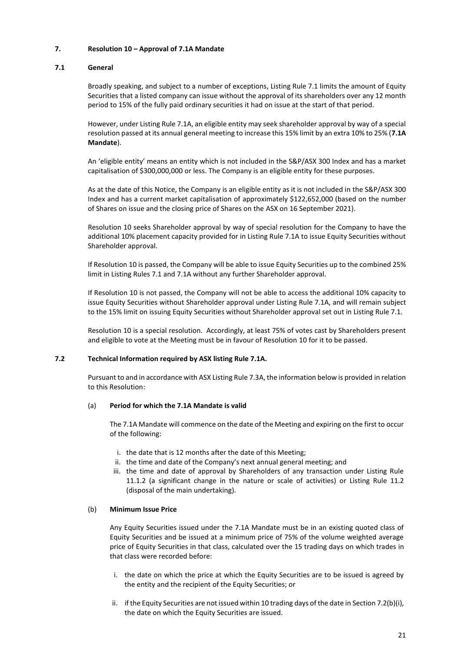## **7. Resolution 10 – Approval of 7.1A Mandate**

# **7.1 General**

Broadly speaking, and subject to a number of exceptions, Listing Rule 7.1 limits the amount of Equity Securities that a listed company can issue without the approval of its shareholders over any 12 month period to 15% of the fully paid ordinary securities it had on issue at the start of that period.

However, under Listing Rule 7.1A, an eligible entity may seek shareholder approval by way of a special resolution passed at its annual general meeting to increase this 15% limit by an extra 10% to 25% (**7.1A Mandate**).

An 'eligible entity' means an entity which is not included in the S&P/ASX 300 Index and has a market capitalisation of \$300,000,000 or less. The Company is an eligible entity for these purposes.

As at the date of this Notice, the Company is an eligible entity as it is not included in the S&P/ASX 300 Index and has a current market capitalisation of approximately \$122,652,000 (based on the number of Shares on issue and the closing price of Shares on the ASX on 16 September 2021).

Resolution 10 seeks Shareholder approval by way of special resolution for the Company to have the additional 10% placement capacity provided for in Listing Rule 7.1A to issue Equity Securities without Shareholder approval.

If Resolution 10 is passed, the Company will be able to issue Equity Securities up to the combined 25% limit in Listing Rules 7.1 and 7.1A without any further Shareholder approval.

If Resolution 10 is not passed, the Company will not be able to access the additional 10% capacity to issue Equity Securities without Shareholder approval under Listing Rule 7.1A, and will remain subject to the 15% limit on issuing Equity Securities without Shareholder approval set out in Listing Rule 7.1.

Resolution 10 is a special resolution. Accordingly, at least 75% of votes cast by Shareholders present and eligible to vote at the Meeting must be in favour of Resolution 10 for it to be passed.

#### **7.2 Technical Information required by ASX listing Rule 7.1A.**

Pursuant to and in accordance with ASX Listing Rule 7.3A, the information below is provided in relation to this Resolution:

#### (a) **Period for which the 7.1A Mandate is valid**

The 7.1A Mandate will commence on the date of the Meeting and expiring on the first to occur of the following:

- i. the date that is 12 months after the date of this Meeting;
- ii. the time and date of the Company's next annual general meeting; and
- iii. the time and date of approval by Shareholders of any transaction under Listing Rule 11.1.2 (a significant change in the nature or scale of activities) or Listing Rule 11.2 (disposal of the main undertaking).

## (b) **Minimum Issue Price**

Any Equity Securities issued under the 7.1A Mandate must be in an existing quoted class of Equity Securities and be issued at a minimum price of 75% of the volume weighted average price of Equity Securities in that class, calculated over the 15 trading days on which trades in that class were recorded before:

- i. the date on which the price at which the Equity Securities are to be issued is agreed by the entity and the recipient of the Equity Securities; or
- ii. if the Equity Securities are not issued within 10 trading days of the date in Section 7.2(b)(i), the date on which the Equity Securities are issued.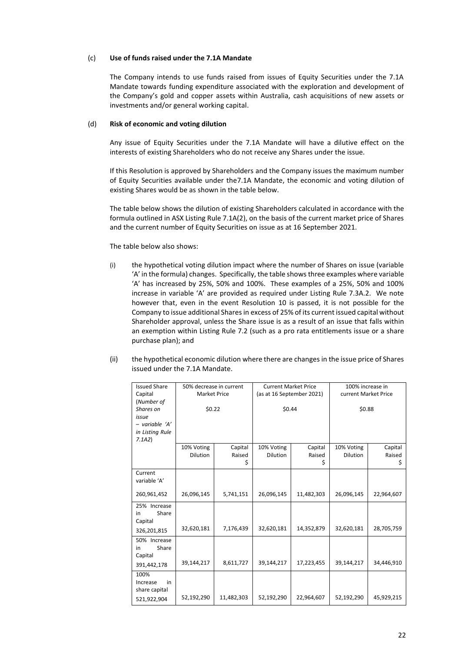#### (c) **Use of funds raised under the 7.1A Mandate**

The Company intends to use funds raised from issues of Equity Securities under the 7.1A Mandate towards funding expenditure associated with the exploration and development of the Company's gold and copper assets within Australia, cash acquisitions of new assets or investments and/or general working capital.

#### (d) **Risk of economic and voting dilution**

Any issue of Equity Securities under the 7.1A Mandate will have a dilutive effect on the interests of existing Shareholders who do not receive any Shares under the issue.

If this Resolution is approved by Shareholders and the Company issues the maximum number of Equity Securities available under the7.1A Mandate, the economic and voting dilution of existing Shares would be as shown in the table below.

The table below shows the dilution of existing Shareholders calculated in accordance with the formula outlined in ASX Listing Rule 7.1A(2), on the basis of the current market price of Shares and the current number of Equity Securities on issue as at 16 September 2021.

#### The table below also shows:

- (i) the hypothetical voting dilution impact where the number of Shares on issue (variable 'A' in the formula) changes. Specifically, the table shows three examples where variable 'A' has increased by 25%, 50% and 100%. These examples of a 25%, 50% and 100% increase in variable 'A' are provided as required under Listing Rule 7.3A.2. We note however that, even in the event Resolution 10 is passed, it is not possible for the Company to issue additional Shares in excess of 25% of its current issued capital without Shareholder approval, unless the Share issue is as a result of an issue that falls within an exemption within Listing Rule 7.2 (such as a pro rata entitlements issue or a share purchase plan); and
- (ii) the hypothetical economic dilution where there are changes in the issue price of Shares issued under the 7.1A Mandate.

| <b>Issued Share</b> | 50% decrease in current |            | <b>Current Market Price</b> |            | 100% increase in     |            |  |
|---------------------|-------------------------|------------|-----------------------------|------------|----------------------|------------|--|
| Capital             | <b>Market Price</b>     |            | (as at 16 September 2021)   |            | current Market Price |            |  |
| (Number of          |                         |            |                             |            |                      |            |  |
| Shares on           | \$0.22                  |            | \$0.44                      |            | \$0.88               |            |  |
| issue               |                         |            |                             |            |                      |            |  |
| $-$ variable 'A'    |                         |            |                             |            |                      |            |  |
| in Listing Rule     |                         |            |                             |            |                      |            |  |
| 7.1A2               |                         |            |                             |            |                      |            |  |
|                     | 10% Voting              | Capital    | 10% Voting                  | Capital    | 10% Voting           | Capital    |  |
|                     | <b>Dilution</b>         | Raised     | <b>Dilution</b>             | Raised     | <b>Dilution</b>      | Raised     |  |
|                     |                         | \$         |                             | \$         |                      | \$         |  |
| Current             |                         |            |                             |            |                      |            |  |
| variable 'A'        |                         |            |                             |            |                      |            |  |
|                     |                         |            |                             |            |                      |            |  |
| 260,961,452         | 26,096,145              | 5,741,151  | 26,096,145                  | 11,482,303 | 26,096,145           | 22,964,607 |  |
| 25% Increase        |                         |            |                             |            |                      |            |  |
| Share<br>in         |                         |            |                             |            |                      |            |  |
| Capital             |                         |            |                             |            |                      |            |  |
| 326,201,815         | 32,620,181              | 7,176,439  | 32,620,181                  | 14,352,879 | 32,620,181           | 28,705,759 |  |
| 50% Increase        |                         |            |                             |            |                      |            |  |
| Share<br>in         |                         |            |                             |            |                      |            |  |
| Capital             |                         |            |                             |            |                      |            |  |
| 391,442,178         | 39,144,217              | 8,611,727  | 39,144,217                  | 17,223,455 | 39,144,217           | 34,446,910 |  |
| 100%                |                         |            |                             |            |                      |            |  |
| in<br>Increase      |                         |            |                             |            |                      |            |  |
| share capital       |                         |            |                             |            |                      |            |  |
| 521,922,904         | 52,192,290              | 11,482,303 | 52,192,290                  | 22,964,607 | 52,192,290           | 45,929,215 |  |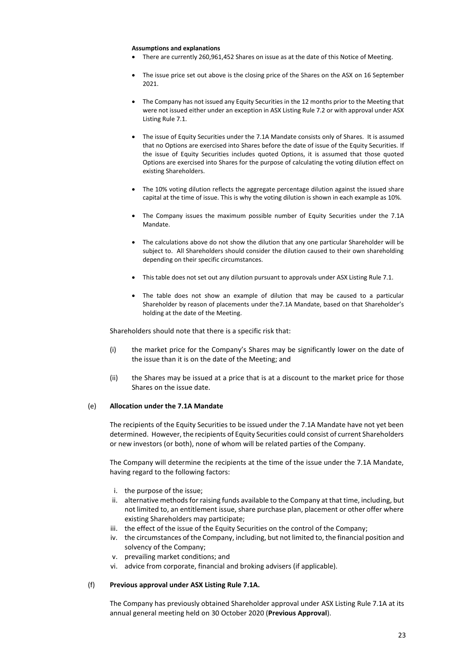#### **Assumptions and explanations**

- There are currently 260,961,452 Shares on issue as at the date of this Notice of Meeting.
- The issue price set out above is the closing price of the Shares on the ASX on 16 September 2021.
- The Company has not issued any Equity Securities in the 12 months prior to the Meeting that were not issued either under an exception in ASX Listing Rule 7.2 or with approval under ASX Listing Rule 7.1.
- The issue of Equity Securities under the 7.1A Mandate consists only of Shares. It is assumed that no Options are exercised into Shares before the date of issue of the Equity Securities. If the issue of Equity Securities includes quoted Options, it is assumed that those quoted Options are exercised into Shares for the purpose of calculating the voting dilution effect on existing Shareholders.
- The 10% voting dilution reflects the aggregate percentage dilution against the issued share capital at the time of issue. This is why the voting dilution is shown in each example as 10%.
- The Company issues the maximum possible number of Equity Securities under the 7.1A Mandate.
- The calculations above do not show the dilution that any one particular Shareholder will be subject to. All Shareholders should consider the dilution caused to their own shareholding depending on their specific circumstances.
- This table does not set out any dilution pursuant to approvals under ASX Listing Rule 7.1.
- The table does not show an example of dilution that may be caused to a particular Shareholder by reason of placements under the7.1A Mandate, based on that Shareholder's holding at the date of the Meeting.

Shareholders should note that there is a specific risk that:

- (i) the market price for the Company's Shares may be significantly lower on the date of the issue than it is on the date of the Meeting; and
- (ii) the Shares may be issued at a price that is at a discount to the market price for those Shares on the issue date.

#### (e) **Allocation under the 7.1A Mandate**

The recipients of the Equity Securities to be issued under the 7.1A Mandate have not yet been determined. However, the recipients of Equity Securities could consist of current Shareholders or new investors (or both), none of whom will be related parties of the Company.

The Company will determine the recipients at the time of the issue under the 7.1A Mandate, having regard to the following factors:

- i. the purpose of the issue;
- ii. alternative methods for raising funds available to the Company at that time, including, but not limited to, an entitlement issue, share purchase plan, placement or other offer where existing Shareholders may participate;
- iii. the effect of the issue of the Equity Securities on the control of the Company;
- iv. the circumstances of the Company, including, but not limited to, the financial position and solvency of the Company;
- v. prevailing market conditions; and
- vi. advice from corporate, financial and broking advisers (if applicable).

#### (f) **Previous approval under ASX Listing Rule 7.1A.**

The Company has previously obtained Shareholder approval under ASX Listing Rule 7.1A at its annual general meeting held on 30 October 2020 (**Previous Approval**).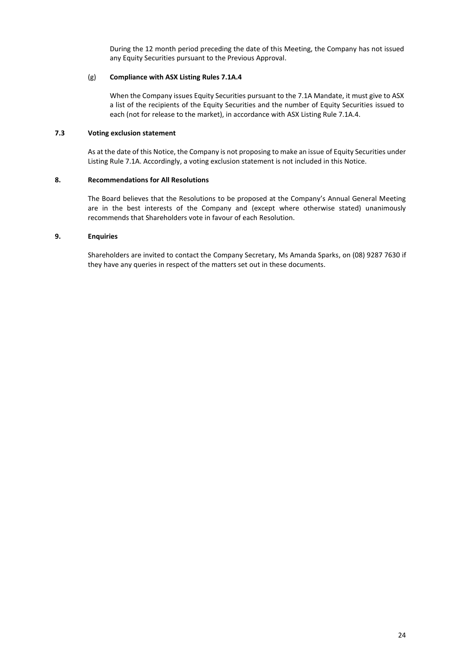During the 12 month period preceding the date of this Meeting, the Company has not issued any Equity Securities pursuant to the Previous Approval.

#### (g) **Compliance with ASX Listing Rules 7.1A.4**

When the Company issues Equity Securities pursuant to the 7.1A Mandate, it must give to ASX a list of the recipients of the Equity Securities and the number of Equity Securities issued to each (not for release to the market), in accordance with ASX Listing Rule 7.1A.4.

# **7.3 Voting exclusion statement**

As at the date of this Notice, the Company is not proposing to make an issue of Equity Securities under Listing Rule 7.1A. Accordingly, a voting exclusion statement is not included in this Notice.

# **8. Recommendations for All Resolutions**

The Board believes that the Resolutions to be proposed at the Company's Annual General Meeting are in the best interests of the Company and (except where otherwise stated) unanimously recommends that Shareholders vote in favour of each Resolution.

# **9. Enquiries**

Shareholders are invited to contact the Company Secretary, Ms Amanda Sparks, on (08) 9287 7630 if they have any queries in respect of the matters set out in these documents.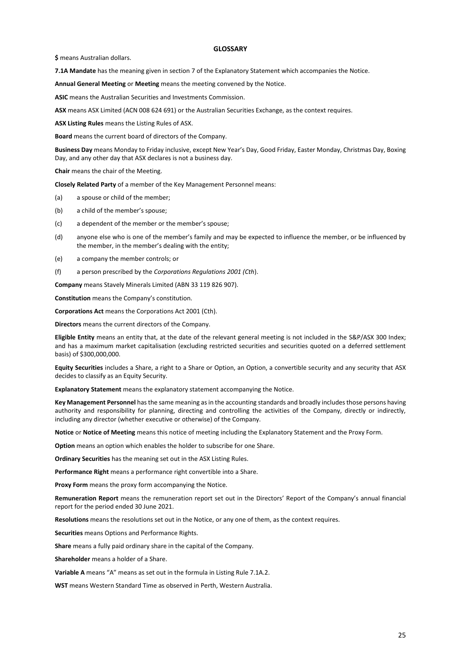#### **GLOSSARY**

**\$** means Australian dollars.

**7.1A Mandate** has the meaning given in section 7 of the Explanatory Statement which accompanies the Notice.

**Annual General Meeting** or **Meeting** means the meeting convened by the Notice.

**ASIC** means the Australian Securities and Investments Commission.

**ASX** means ASX Limited (ACN 008 624 691) or the Australian Securities Exchange, as the context requires.

**ASX Listing Rules** means the Listing Rules of ASX.

**Board** means the current board of directors of the Company.

**Business Day** means Monday to Friday inclusive, except New Year's Day, Good Friday, Easter Monday, Christmas Day, Boxing Day, and any other day that ASX declares is not a business day.

**Chair** means the chair of the Meeting.

**Closely Related Party** of a member of the Key Management Personnel means:

- (a) a spouse or child of the member;
- (b) a child of the member's spouse;
- (c) a dependent of the member or the member's spouse;
- (d) anyone else who is one of the member's family and may be expected to influence the member, or be influenced by the member, in the member's dealing with the entity;
- (e) a company the member controls; or
- (f) a person prescribed by the *Corporations Regulations 2001 (Cth*).

**Company** means Stavely Minerals Limited (ABN 33 119 826 907).

**Constitution** means the Company's constitution.

**Corporations Act** means the Corporations Act 2001 (Cth).

**Directors** means the current directors of the Company.

**Eligible Entity** means an entity that, at the date of the relevant general meeting is not included in the S&P/ASX 300 Index; and has a maximum market capitalisation (excluding restricted securities and securities quoted on a deferred settlement basis) of \$300,000,000.

**Equity Securities** includes a Share, a right to a Share or Option, an Option, a convertible security and any security that ASX decides to classify as an Equity Security.

**Explanatory Statement** means the explanatory statement accompanying the Notice.

**Key Management Personnel** has the same meaning as in the accounting standards and broadly includes those persons having authority and responsibility for planning, directing and controlling the activities of the Company, directly or indirectly, including any director (whether executive or otherwise) of the Company.

**Notice** or **Notice of Meeting** means this notice of meeting including the Explanatory Statement and the Proxy Form.

**Option** means an option which enables the holder to subscribe for one Share.

**Ordinary Securities** has the meaning set out in the ASX Listing Rules.

**Performance Right** means a performance right convertible into a Share.

**Proxy Form** means the proxy form accompanying the Notice.

**Remuneration Report** means the remuneration report set out in the Directors' Report of the Company's annual financial report for the period ended 30 June 2021.

**Resolutions** means the resolutions set out in the Notice, or any one of them, as the context requires.

**Securities** means Options and Performance Rights.

**Share** means a fully paid ordinary share in the capital of the Company.

**Shareholder** means a holder of a Share.

**Variable A** means "A" means as set out in the formula in Listing Rule 7.1A.2.

**WST** means Western Standard Time as observed in Perth, Western Australia.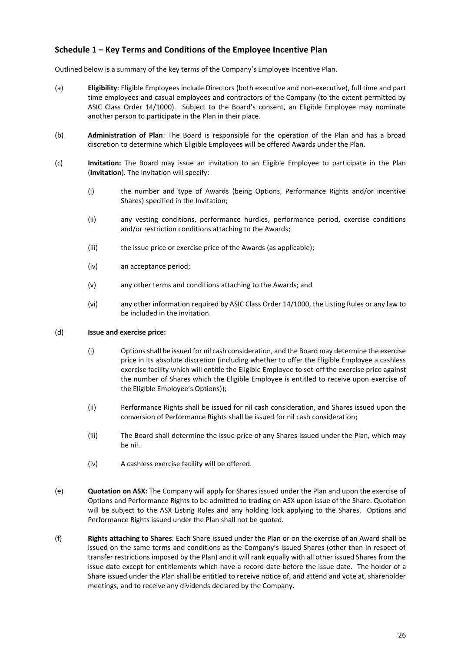# **Schedule 1 – Key Terms and Conditions of the Employee Incentive Plan**

Outlined below is a summary of the key terms of the Company's Employee Incentive Plan.

- (a) **Eligibility**: Eligible Employees include Directors (both executive and non-executive), full time and part time employees and casual employees and contractors of the Company (to the extent permitted by ASIC Class Order 14/1000). Subject to the Board's consent, an Eligible Employee may nominate another person to participate in the Plan in their place.
- (b) **Administration of Plan**: The Board is responsible for the operation of the Plan and has a broad discretion to determine which Eligible Employees will be offered Awards under the Plan.
- (c) **Invitation:** The Board may issue an invitation to an Eligible Employee to participate in the Plan (**Invitation**). The Invitation will specify:
	- (i) the number and type of Awards (being Options, Performance Rights and/or incentive Shares) specified in the Invitation;
	- (ii) any vesting conditions, performance hurdles, performance period, exercise conditions and/or restriction conditions attaching to the Awards;
	- (iii) the issue price or exercise price of the Awards (as applicable);
	- (iv) an acceptance period;
	- (v) any other terms and conditions attaching to the Awards; and
	- (vi) any other information required by ASIC Class Order 14/1000, the Listing Rules or any law to be included in the invitation.

#### (d) **Issue and exercise price:**

- (i) Options shall be issued for nil cash consideration, and the Board may determine the exercise price in its absolute discretion (including whether to offer the Eligible Employee a cashless exercise facility which will entitle the Eligible Employee to set-off the exercise price against the number of Shares which the Eligible Employee is entitled to receive upon exercise of the Eligible Employee's Options));
- (ii) Performance Rights shall be issued for nil cash consideration, and Shares issued upon the conversion of Performance Rights shall be issued for nil cash consideration;
- (iii) The Board shall determine the issue price of any Shares issued under the Plan, which may be nil.
- (iv) A cashless exercise facility will be offered.
- (e) **Quotation on ASX:** The Company will apply for Shares issued under the Plan and upon the exercise of Options and Performance Rights to be admitted to trading on ASX upon issue of the Share. Quotation will be subject to the ASX Listing Rules and any holding lock applying to the Shares. Options and Performance Rights issued under the Plan shall not be quoted.
- (f) **Rights attaching to Shares**: Each Share issued under the Plan or on the exercise of an Award shall be issued on the same terms and conditions as the Company's issued Shares (other than in respect of transfer restrictions imposed by the Plan) and it will rank equally with all other issued Shares from the issue date except for entitlements which have a record date before the issue date. The holder of a Share issued under the Plan shall be entitled to receive notice of, and attend and vote at, shareholder meetings, and to receive any dividends declared by the Company.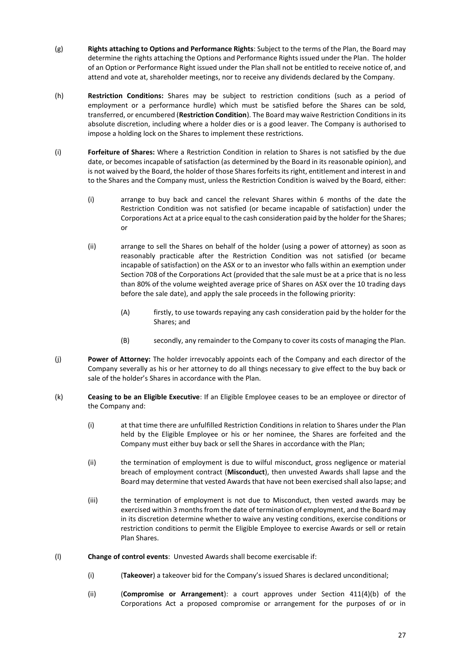- (g) **Rights attaching to Options and Performance Rights**: Subject to the terms of the Plan, the Board may determine the rights attaching the Options and Performance Rights issued under the Plan. The holder of an Option or Performance Right issued under the Plan shall not be entitled to receive notice of, and attend and vote at, shareholder meetings, nor to receive any dividends declared by the Company.
- (h) **Restriction Conditions:** Shares may be subject to restriction conditions (such as a period of employment or a performance hurdle) which must be satisfied before the Shares can be sold, transferred, or encumbered (**Restriction Condition**). The Board may waive Restriction Conditions in its absolute discretion, including where a holder dies or is a good leaver. The Company is authorised to impose a holding lock on the Shares to implement these restrictions.
- (i) **Forfeiture of Shares:** Where a Restriction Condition in relation to Shares is not satisfied by the due date, or becomes incapable of satisfaction (as determined by the Board in its reasonable opinion), and is not waived by the Board, the holder of those Shares forfeits its right, entitlement and interest in and to the Shares and the Company must, unless the Restriction Condition is waived by the Board, either:
	- (i) arrange to buy back and cancel the relevant Shares within 6 months of the date the Restriction Condition was not satisfied (or became incapable of satisfaction) under the Corporations Act at a price equal to the cash consideration paid by the holder for the Shares; or
	- (ii) arrange to sell the Shares on behalf of the holder (using a power of attorney) as soon as reasonably practicable after the Restriction Condition was not satisfied (or became incapable of satisfaction) on the ASX or to an investor who falls within an exemption under Section 708 of the Corporations Act (provided that the sale must be at a price that is no less than 80% of the volume weighted average price of Shares on ASX over the 10 trading days before the sale date), and apply the sale proceeds in the following priority:
		- (A) firstly, to use towards repaying any cash consideration paid by the holder for the Shares; and
		- (B) secondly, any remainder to the Company to cover its costs of managing the Plan.
- (j) **Power of Attorney:** The holder irrevocably appoints each of the Company and each director of the Company severally as his or her attorney to do all things necessary to give effect to the buy back or sale of the holder's Shares in accordance with the Plan.
- (k) **Ceasing to be an Eligible Executive**: If an Eligible Employee ceases to be an employee or director of the Company and:
	- (i) at that time there are unfulfilled Restriction Conditions in relation to Shares under the Plan held by the Eligible Employee or his or her nominee, the Shares are forfeited and the Company must either buy back or sell the Shares in accordance with the Plan;
	- (ii) the termination of employment is due to wilful misconduct, gross negligence or material breach of employment contract (**Misconduct**), then unvested Awards shall lapse and the Board may determine that vested Awards that have not been exercised shall also lapse; and
	- (iii) the termination of employment is not due to Misconduct, then vested awards may be exercised within 3 months from the date of termination of employment, and the Board may in its discretion determine whether to waive any vesting conditions, exercise conditions or restriction conditions to permit the Eligible Employee to exercise Awards or sell or retain Plan Shares.
- (l) **Change of control events**: Unvested Awards shall become exercisable if:
	- (i) (**Takeover**) a takeover bid for the Company's issued Shares is declared unconditional;
	- (ii) (**Compromise or Arrangement**): a court approves under Section 411(4)(b) of the Corporations Act a proposed compromise or arrangement for the purposes of or in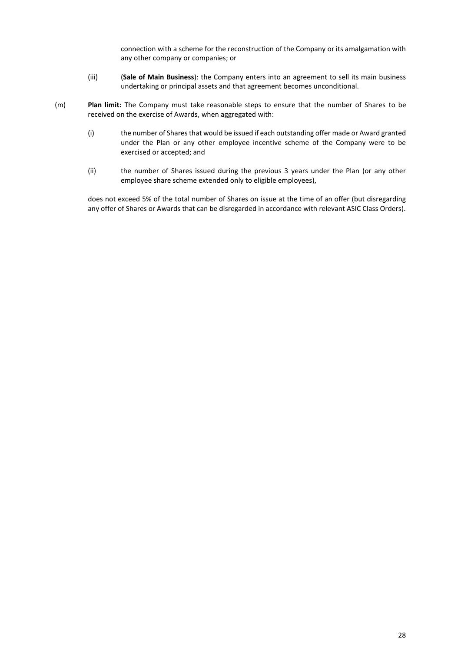connection with a scheme for the reconstruction of the Company or its amalgamation with any other company or companies; or

- (iii) (**Sale of Main Business**): the Company enters into an agreement to sell its main business undertaking or principal assets and that agreement becomes unconditional.
- (m) **Plan limit:** The Company must take reasonable steps to ensure that the number of Shares to be received on the exercise of Awards, when aggregated with:
	- (i) the number of Shares that would be issued if each outstanding offer made or Award granted under the Plan or any other employee incentive scheme of the Company were to be exercised or accepted; and
	- (ii) the number of Shares issued during the previous 3 years under the Plan (or any other employee share scheme extended only to eligible employees),

does not exceed 5% of the total number of Shares on issue at the time of an offer (but disregarding any offer of Shares or Awards that can be disregarded in accordance with relevant ASIC Class Orders).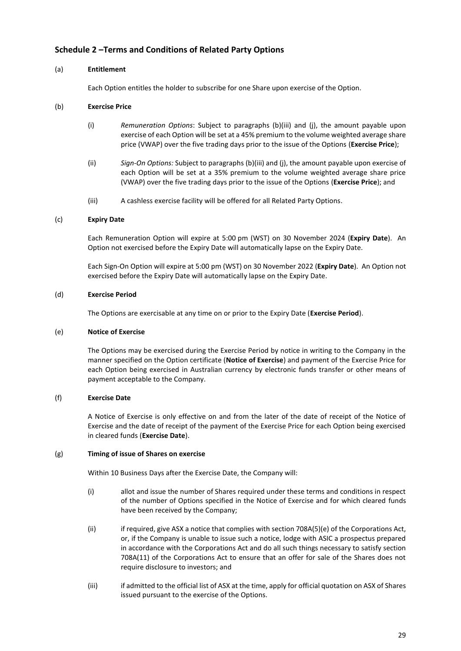# **Schedule 2 –Terms and Conditions of Related Party Options**

## <span id="page-28-0"></span>(a) **Entitlement**

Each Option entitles the holder to subscribe for one Share upon exercise of the Option.

## <span id="page-28-1"></span>(b) **Exercise Price**

- (i) *Remuneration Options*: Subject to paragraphs [\(b\)](#page-28-1)[\(iii\)](#page-28-2) and [\(j\),](#page-29-0) the amount payable upon exercise of each Option will be set at a 45% premium to the volume weighted average share price (VWAP) over the five trading days prior to the issue of the Options (**Exercise Price**);
- (ii) *Sign-On Options:* Subject to paragraph[s \(b\)](#page-28-1)[\(iii\)](#page-28-2) and [\(j\),](#page-29-0) the amount payable upon exercise of each Option will be set at a 35% premium to the volume weighted average share price (VWAP) over the five trading days prior to the issue of the Options (**Exercise Price**); and
- (iii) A cashless exercise facility will be offered for all Related Party Options.

# <span id="page-28-2"></span>(c) **Expiry Date**

Each Remuneration Option will expire at 5:00 pm (WST) on 30 November 2024 (**Expiry Date**). An Option not exercised before the Expiry Date will automatically lapse on the Expiry Date.

Each Sign-On Option will expire at 5:00 pm (WST) on 30 November 2022 (**Expiry Date**). An Option not exercised before the Expiry Date will automatically lapse on the Expiry Date.

# (d) **Exercise Period**

The Options are exercisable at any time on or prior to the Expiry Date (**Exercise Period**).

#### (e) **Notice of Exercise**

The Options may be exercised during the Exercise Period by notice in writing to the Company in the manner specified on the Option certificate (**Notice of Exercise**) and payment of the Exercise Price for each Option being exercised in Australian currency by electronic funds transfer or other means of payment acceptable to the Company.

# (f) **Exercise Date**

A Notice of Exercise is only effective on and from the later of the date of receipt of the Notice of Exercise and the date of receipt of the payment of the Exercise Price for each Option being exercised in cleared funds (**Exercise Date**).

#### <span id="page-28-3"></span>(g) **Timing of issue of Shares on exercise**

Within 10 Business Days after the Exercise Date, the Company will:

- (i) allot and issue the number of Shares required under these terms and conditions in respect of the number of Options specified in the Notice of Exercise and for which cleared funds have been received by the Company;
- <span id="page-28-4"></span>(ii) if required, give ASX a notice that complies with section 708A(5)(e) of the Corporations Act, or, if the Company is unable to issue such a notice, lodge with ASIC a prospectus prepared in accordance with the Corporations Act and do all such things necessary to satisfy section 708A(11) of the Corporations Act to ensure that an offer for sale of the Shares does not require disclosure to investors; and
- (iii) if admitted to the official list of ASX at the time, apply for official quotation on ASX of Shares issued pursuant to the exercise of the Options.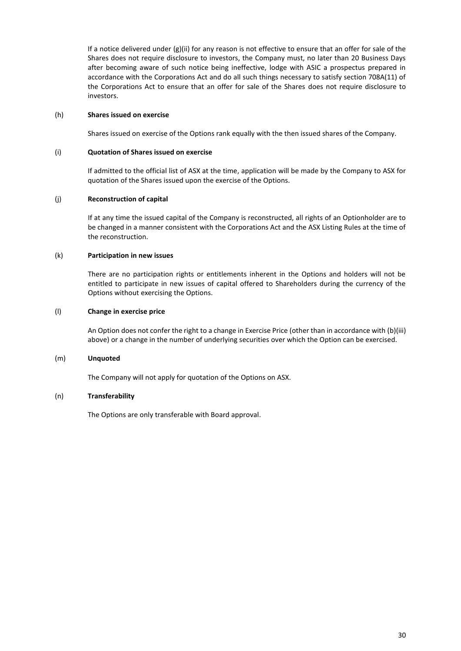If a notice delivered under  $(g)(ii)$  $(g)(ii)$  for any reason is not effective to ensure that an offer for sale of the Shares does not require disclosure to investors, the Company must, no later than 20 Business Days after becoming aware of such notice being ineffective, lodge with ASIC a prospectus prepared in accordance with the Corporations Act and do all such things necessary to satisfy section 708A(11) of the Corporations Act to ensure that an offer for sale of the Shares does not require disclosure to investors.

#### (h) **Shares issued on exercise**

Shares issued on exercise of the Options rank equally with the then issued shares of the Company.

#### (i) **Quotation of Shares issued on exercise**

If admitted to the official list of ASX at the time, application will be made by the Company to ASX for quotation of the Shares issued upon the exercise of the Options.

#### <span id="page-29-0"></span>(j) **Reconstruction of capital**

If at any time the issued capital of the Company is reconstructed, all rights of an Optionholder are to be changed in a manner consistent with the Corporations Act and the ASX Listing Rules at the time of the reconstruction.

#### (k) **Participation in new issues**

There are no participation rights or entitlements inherent in the Options and holders will not be entitled to participate in new issues of capital offered to Shareholders during the currency of the Options without exercising the Options.

#### (l) **Change in exercise price**

An Option does not confer the right to a change in Exercise Price (other than in accordance wit[h \(b\)](#page-28-1)[\(iii\)](#page-28-2) above) or a change in the number of underlying securities over which the Option can be exercised.

#### (m) **Unquoted**

The Company will not apply for quotation of the Options on ASX.

#### (n) **Transferability**

The Options are only transferable with Board approval.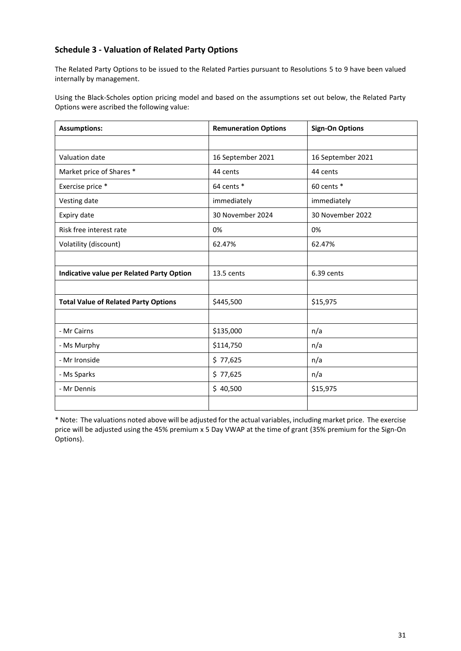# **Schedule 3 - Valuation of Related Party Options**

The Related Party Options to be issued to the Related Parties pursuant to Resolutions 5 to 9 have been valued internally by management.

Using the Black-Scholes option pricing model and based on the assumptions set out below, the Related Party Options were ascribed the following value:

| <b>Assumptions:</b>                              | <b>Remuneration Options</b> | <b>Sign-On Options</b> |
|--------------------------------------------------|-----------------------------|------------------------|
|                                                  |                             |                        |
| Valuation date                                   | 16 September 2021           | 16 September 2021      |
| Market price of Shares *                         | 44 cents                    | 44 cents               |
| Exercise price *                                 | 64 cents *                  | 60 cents *             |
| Vesting date                                     | immediately                 | immediately            |
| Expiry date                                      | 30 November 2024            | 30 November 2022       |
| Risk free interest rate                          | 0%                          | 0%                     |
| Volatility (discount)                            | 62.47%                      | 62.47%                 |
|                                                  |                             |                        |
| <b>Indicative value per Related Party Option</b> | 13.5 cents                  | 6.39 cents             |
|                                                  |                             |                        |
| <b>Total Value of Related Party Options</b>      | \$445,500                   | \$15,975               |
|                                                  |                             |                        |
| - Mr Cairns                                      | \$135,000                   | n/a                    |
| - Ms Murphy                                      | \$114,750                   | n/a                    |
| - Mr Ironside                                    | \$77,625                    | n/a                    |
| - Ms Sparks                                      | \$77,625                    | n/a                    |
| - Mr Dennis                                      | \$40,500                    | \$15,975               |
|                                                  |                             |                        |

\* Note: The valuations noted above will be adjusted for the actual variables, including market price. The exercise price will be adjusted using the 45% premium x 5 Day VWAP at the time of grant (35% premium for the Sign-On Options).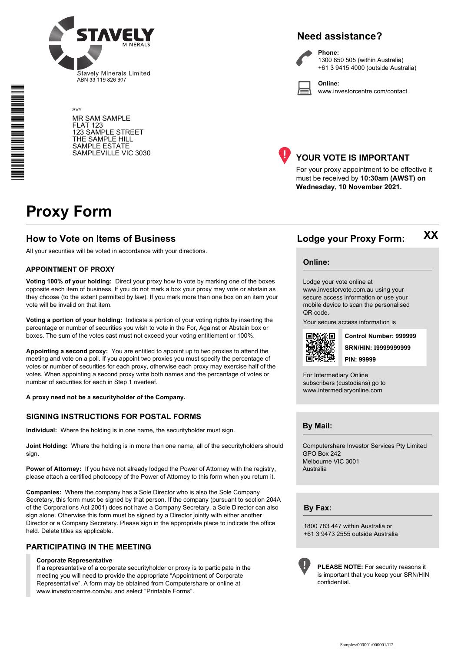

SVY MR SAM SAMPLE FLAT 123 123 SAMPLE STREET THE SAMPLE HILL SAMPLE ESTATE SAMPLEVILLE VIC 3030

# **Need assistance?**

**Phone:**



1300 850 505 (within Australia) +61 3 9415 4000 (outside Australia)

**Online:** www.investorcentre.com/contact



# **YOUR VOTE IS IMPORTANT**

For your proxy appointment to be effective it must be received by **10:30am (AWST) on Wednesday, 10 November 2021.**

# **Proxy Form**

# **How to Vote on Items of Business Lodge your Proxy Form:**

All your securities will be voted in accordance with your directions.

#### **APPOINTMENT OF PROXY**

**Voting 100% of your holding:** Direct your proxy how to vote by marking one of the boxes opposite each item of business. If you do not mark a box your proxy may vote or abstain as they choose (to the extent permitted by law). If you mark more than one box on an item your vote will be invalid on that item.

**Voting a portion of your holding:** Indicate a portion of your voting rights by inserting the percentage or number of securities you wish to vote in the For, Against or Abstain box or boxes. The sum of the votes cast must not exceed your voting entitlement or 100%.

**Appointing a second proxy:** You are entitled to appoint up to two proxies to attend the meeting and vote on a poll. If you appoint two proxies you must specify the percentage of votes or number of securities for each proxy, otherwise each proxy may exercise half of the votes. When appointing a second proxy write both names and the percentage of votes or number of securities for each in Step 1 overleaf.

**A proxy need not be a securityholder of the Company.**

#### **SIGNING INSTRUCTIONS FOR POSTAL FORMS**

**Individual:** Where the holding is in one name, the securityholder must sign.

**Joint Holding:** Where the holding is in more than one name, all of the securityholders should sign.

**Power of Attorney:** If you have not already lodged the Power of Attorney with the registry, please attach a certified photocopy of the Power of Attorney to this form when you return it.

**Companies:** Where the company has a Sole Director who is also the Sole Company Secretary, this form must be signed by that person. If the company (pursuant to section 204A of the Corporations Act 2001) does not have a Company Secretary, a Sole Director can also sign alone. Otherwise this form must be signed by a Director jointly with either another Director or a Company Secretary. Please sign in the appropriate place to indicate the office held. Delete titles as applicable.

# **PARTICIPATING IN THE MEETING**

#### **Corporate Representative**

If a representative of a corporate securityholder or proxy is to participate in the meeting you will need to provide the appropriate "Appointment of Corporate Representative". A form may be obtained from Computershare or online at www.investorcentre.com/au and select "Printable Forms".

**XX**

#### **Online:**

Lodge your vote online at www.investorvote.com.au using your secure access information or use your mobile device to scan the personalised QR code.

Your secure access information is



**SRN/HIN: I9999999999 Control Number: 999999 PIN: 99999**

For Intermediary Online subscribers (custodians) go to www.intermediaryonline.com

**By Mail:**

Computershare Investor Services Pty Limited GPO Box 242 Melbourne VIC 3001 Australia

**By Fax:**

1800 783 447 within Australia or +61 3 9473 2555 outside Australia



**PLEASE NOTE:** For security reasons it is important that you keep your SRN/HIN confidential.